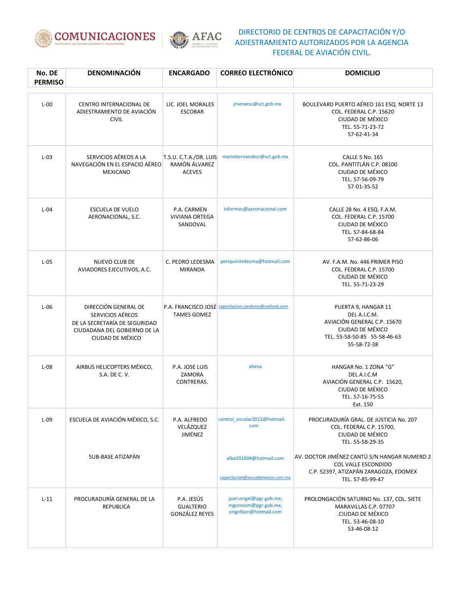



| No. DE<br><b>PERMISO</b> | DENOMINACIÓN                                                                                                                  | <b>ENCARGADO</b>                                         | <b>CORREO ELECTRÓNICO</b>                                               | <b>DOMICILIO</b>                                                                                                                        |
|--------------------------|-------------------------------------------------------------------------------------------------------------------------------|----------------------------------------------------------|-------------------------------------------------------------------------|-----------------------------------------------------------------------------------------------------------------------------------------|
| $L-00$                   | CENTRO INTERNACIONAL DE<br>ADIESTRAMIENTO DE AVIACIÓN<br><b>CIVIL</b>                                                         | LIC. JOEL MORALES<br><b>ESCOBAR</b>                      | jmoraesc@sct.gob.mx                                                     | BOULEVARD PUERTO AÉREO 161 ESQ. NORTE 13<br>COL. FEDERAL C.P. 15620<br>CIUDAD DE MÉXICO<br>TEL. 55-71-23-72<br>57-62-41-34              |
| $L-03$                   | SERVICIOS AÉREOS A LA<br>NAVEGACIÓN EN EL ESPACIO AÉREO<br><b>MEXICANO</b>                                                    | T.S.U. C.T.A./DR. LUIS<br>RAMÓN ÁLVAREZ<br><b>ACEVES</b> | mariohernandezr@sct.gob.mx                                              | <b>CALLE 5 No. 165</b><br>COL. PANTITLÁN C.P. 08100<br>CIUDAD DE MÉXICO<br>TEL. 57-56-09-79<br>57-01-35-52                              |
| $L-04$                   | ESCUELA DE VUELO<br>AERONACIONAL, S.C.                                                                                        | P.A. CARMEN<br><b>VIVIANA ORTEGA</b><br>SANDOVAL         | informes@aeronacional.com                                               | CALLE 28 No. 4 ESQ. F.A.M.<br>COL. FEDERAL C.P. 15700<br>CIUDAD DE MÉXICO<br>TEL. 57-84-68-84<br>57-62-86-06                            |
| $L-05$                   | NUEVO CLUB DE<br>AVIADORES EJECUTIVOS, A.C.                                                                                   | C. PEDRO LEDESMA<br><b>MIRANDA</b>                       | periquiniledesma@hotmail.com                                            | AV. F.A.M. No. 446 PRIMER PISO<br>COL. FEDERAL C.P. 15700<br>CIUDAD DE MÉXICO<br>TEL. 55-71-23-29                                       |
| $L-06$                   | DIRECCIÓN GENERAL DE<br>SERVICIOS AÉREOS<br>DE LA SECRETARÍA DE SEGURIDAD<br>CIUDADANA DEL GOBIERNO DE LA<br>CIUDAD DE MÉXICO | <b>TAMES GOMEZ</b>                                       | P.A. FRANCISCO JOSÉ capacitacion.condores@outlook.com                   | PUERTA 9, HANGAR 11<br>DEL A.I.C.M.<br>AVIACIÓN GENERAL C.P. 15670<br>CIUDAD DE MÉXICO<br>TEL. 55-58-50-85 55-58-46-63<br>55-58-72-38   |
| $L-08$                   | AIRBUS HELICOPTERS MÉXICO,<br>S.A. DE C. V.                                                                                   | P.A. JOSE LUIS<br>ZAMORA<br>CONTRERAS.                   | ahesa                                                                   | HANGAR No. 1 ZONA "G"<br>DEL A.I.C.M<br>AVIACIÓN GENERAL C.P. 15620,<br>CIUDAD DE MÉXICO<br>TEL. 57-16-75-55<br>Ext. 150                |
| $L-09$                   | ESCUELA DE AVIACIÓN MÉXICO, S.C.                                                                                              | P.A. ALFREDO<br>VELÁZQUEZ<br>JIMÉNEZ                     | control_escolar2012@hotmail.<br>com                                     | PROCURADURÍA GRAL. DE JUSTICIA No. 207<br>COL. FEDERAL C.P. 15700,<br>CIUDAD DE MÉXICO<br>TEL. 55-58-29-35                              |
|                          | SUB-BASE ATIZAPÁN                                                                                                             |                                                          | alba591004@hotmail.com<br>capacitacion@escuelamexico.com.mx             | AV. DOCTOR JIMÉNEZ CANTÚ S/N HANGAR NUMERO 2<br><b>COL VALLE ESCONDIDO</b><br>C.P. 52397, ATIZAPÁN ZARAGOZA, EDOMEX<br>TEL. 57-85-99-47 |
| $L-11$                   | PROCURADURÍA GENERAL DE LA<br><b>REPUBLICA</b>                                                                                | P.A. JESÚS<br><b>GUALTERIO</b><br><b>GONZÁLEZ REYES</b>  | juan.origel@pgr.gob.mx;<br>mgomezm@pgr.gob.mx;<br>origelbon@hotmail.com | PROLONGACIÓN SATURNO No. 137, COL. SIETE<br>MARAVILLAS C.P. 07707<br>CIUDAD DE MÉXICO.<br>TEL. 53-46-08-10<br>53-46-08-12               |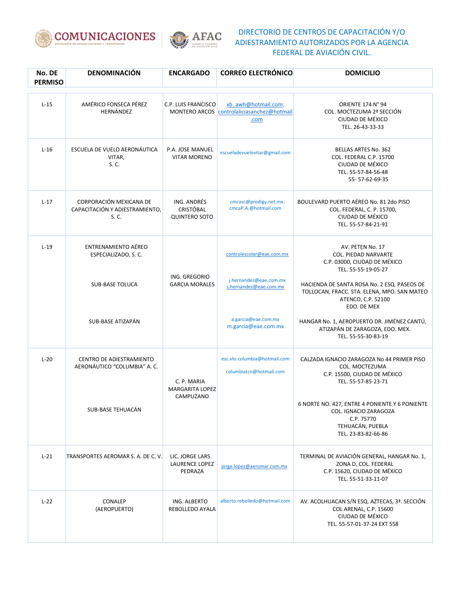



| No. DE<br><b>PERMISO</b> | <b>DENOMINACIÓN</b>                                                          | <b>ENCARGADO</b>                                        | <b>CORREO ELECTRÓNICO</b>                                                     | <b>DOMICILIO</b>                                                                                                                                                                                     |
|--------------------------|------------------------------------------------------------------------------|---------------------------------------------------------|-------------------------------------------------------------------------------|------------------------------------------------------------------------------------------------------------------------------------------------------------------------------------------------------|
| $L-15$                   | AMÉRICO FONSECA PÉREZ<br>HERNÁNDEZ                                           | C.P. LUIS FRANCISCO                                     | xb awh@hotmail.com;<br>MONTERO ARCOS controlaliciasanchez@hotmail<br>.com     | ORIENTE 174 N° 94<br>COL. MOCTEZUMA 2ª SECCIÓN<br>CIUDAD DE MÉXICO<br>TEL. 26-43-33-33                                                                                                               |
| $L-16$                   | ESCUELA DE VUELO AERONÁUTICA<br>VITAR,<br>S. C.                              | P.A. JOSE MANUEL<br><b>VITAR MORENO</b>                 | escueladevuelovitar@gmail.com                                                 | BELLAS ARTES No. 362<br>COL. FEDERAL C.P. 15700<br>CIUDAD DE MÉXICO<br>TEL. 55-57-84-56-48<br>55-57-62-69-35                                                                                         |
| $L-17$                   | CORPORACIÓN MEXICANA DE<br>CAPACITACIÓN Y ADIESTRAMIENTO,<br>S. C.           | ING. ANDRÉS<br><b>CRISTÓBAL</b><br><b>QUINTERO SOTO</b> | cmcasc@prodigy.net.mx;<br>cmcaP.A.@hotmail.com                                | BOULEVARD PUERTO AÉREO No. 81 2do PISO<br>COL. FEDERAL, C. P. 15700,<br>CIUDAD DE MÉXICO<br>TEL. 55-57-84-21-91                                                                                      |
| $L-19$                   | <b>ENTRENAMIENTO AÉREO</b><br>ESPECIALIZADO, S. C.<br><b>SUB-BASE TOLUCA</b> | ING. GREGORIO<br><b>GARCIA MORALES</b>                  | controlescolar@eae.com.mx<br>j.hernandez@eae.com.mx<br>s.hernandez@eae.com.mx | AV. PETEN No. 17<br><b>COL. PIEDAD NARVARTE</b><br>C.P. 03000, CIUDAD DE MÉXICO<br>TEL. 55-55-19-05-27<br>HACIENDA DE SANTA ROSA No. 2 ESQ. PASEOS DE<br>TOLLOCAN, FRACC. STA. ELENA, MPO. SAN MATEO |
|                          | SUB-BASE ATIZAPÁN                                                            |                                                         | a.garcia@eae.com.mx<br>m.garcia@eae.com.mx                                    | ATENCO, C.P. 52100<br>EDO. DE MEX<br>HANGAR No. 1, AEROPUERTO DR. JIMÉNEZ CANTÚ,<br>ATIZAPÁN DE ZARAGOZA, EDO. MEX.<br>TEL. 55-55-30-83-19                                                           |
| $L-20$                   | <b>CENTRO DE ADIESTRAMIENTO</b><br>AERONÁUTICO "COLUMBIA" A.C.               | C. P. MARIA<br><b>MARGARITA LOPEZ</b>                   | esc.vlo.columbia@hotmail.com<br>columbiatcn@hotmail.com                       | CALZADA IGNACIO ZARAGOZA No 44 PRIMER PISO<br>COL. MOCTEZUMA<br>C.P. 15500, CIUDAD DE MÉXICO<br>TEL. 55-57-85-23-71                                                                                  |
|                          | SUB-BASE TEHUACÁN                                                            | CAMPUZANO                                               |                                                                               | 6 NORTE NO. 427, ENTRE 4 PONIENTE Y 6 PONIENTE<br>COL. IGNACIO ZARAGOZA<br>C.P. 75770<br>TEHUACÁN, PUEBLA<br>TEL. 23-83-82-66-86                                                                     |
| $L-21$                   | TRANSPORTES AEROMAR S. A. DE C. V.                                           | LIC. JORGE LARS<br><b>LAURENCE LOPEZ</b><br>PEDRAZA     | jorge.lopez@aeromar.com.mx                                                    | TERMINAL DE AVIACIÓN GENERAL, HANGAR No. 1,<br>ZONA D, COL. FEDERAL<br>C.P. 15620, CIUDAD DE MÉXICO<br>TEL. 55-51-33-11-07                                                                           |
| $L-22$                   | CONALEP<br>(AEROPUERTO)                                                      | ING. ALBERTO<br>REBOLLEDO AYALA                         | alberto.rebolledo@hotmail.com                                                 | AV. ACOLHUACAN S/N ESQ. AZTECAS, 3ª. SECCIÓN<br>COL ARENAL, C.P. 15600<br>CIUDAD DE MÉXICO<br>TEL. 55-57-01-37-24 EXT 558                                                                            |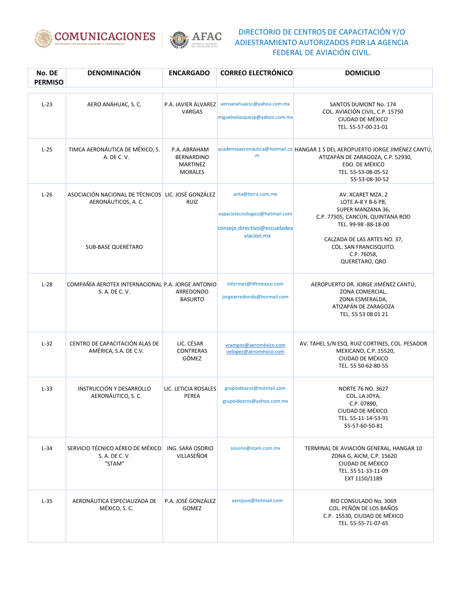



| No. DE<br><b>PERMISO</b> | DENOMINACIÓN                                                                                           | <b>ENCARGADO</b>                                                       | <b>CORREO ELECTRÓNICO</b>                                                                         | <b>DOMICILIO</b>                                                                                                                                                                                                    |
|--------------------------|--------------------------------------------------------------------------------------------------------|------------------------------------------------------------------------|---------------------------------------------------------------------------------------------------|---------------------------------------------------------------------------------------------------------------------------------------------------------------------------------------------------------------------|
| $L-23$                   | AERO ANÁHUAC, S. C.                                                                                    | P.A. JAVIER ÁLVAREZ<br>VARGAS                                          | aeroanahuacsc@yahoo.com.mx<br>miguelvelazquezp@yahoo.com.mx                                       | <b>SANTOS DUMONT No. 174</b><br>COL. AVIACIÓN CIVIL, C.P. 15750<br>CIUDAD DE MÉXICO<br>TEL. 55-57-00-21-01                                                                                                          |
| $L-25$                   | TIMCA AERONÁUTICA DE MÉXICO, S.<br>A. DE C. V.                                                         | P.A. ABRAHAM<br><b>BERNARDINO</b><br><b>MARTINEZ</b><br><b>MORALES</b> | m                                                                                                 | academiaaeronautica@hotmail.co HANGAR 1 S DEL AEROPUERTO JORGE JIMÉNEZ CANTÚ,<br>ATIZAPÁN DE ZARAGOZA, C.P. 52930,<br>EDO. DE MÉXICO<br>TEL. 55-53-08-05-52<br>55-53-08-30-52                                       |
| $L-26$                   | ASOCIACIÓN NACIONAL DE TÉCNICOS LIC. JOSÉ GONZÁLEZ<br>AERONÁUTICOS, A. C.<br><b>SUB-BASE QUERÉTARO</b> | <b>RUIZ</b>                                                            | anta@terra.com.mx<br>espaciotecnologico@hotmail.com<br>consejo.directivo@escueladea<br>viacion.mx | AV. XCARET MZA. 2<br>LOTE A-8 Y B-6 PB,<br>SUPER MANZANA 36,<br>C.P. 77505, CANCÚN, QUINTANA ROO<br>TEL. 99-98 -88-18-00<br>CALZADA DE LAS ARTES NO. 37,<br>COL. SAN FRANCISQUITO.<br>C.P. 76058,<br>QUERÉTARO, QRO |
| $L-28$                   | COMPAÑÍA AEROTEX INTERNACIONAL P.A. JORGE ANTONIO<br>S. A. DE C. V.                                    | ARREDONDO<br><b>BASURTO</b>                                            | informes@liftmexico.com<br>jorgearredondo@hormail.com                                             | AEROPUERTO DR. JORGE JIMÉNEZ CANTÚ,<br>ZONA COMERCIAL,<br>ZONA ESMERALDA,<br>ATIZAPÁN DE ZARAGOZA<br>TEL. 55 53 08 01 21                                                                                            |
| $L-32$                   | CENTRO DE CAPACITACIÓN ALAS DE<br>AMÉRICA, S.A. DE C.V.                                                | LIC. CÉSAR<br><b>CONTRERAS</b><br>GÓMEZ                                | vcampos@aeroméxico.com<br>oelopez@aeroméxico.com                                                  | AV. TAHEL S/N ESQ. RUIZ CORTINES, COL. PESADOR<br>MEXICANO, C.P. 15520,<br>CIUDAD DE MÉXICO<br>TEL. 55 50-62-80-55                                                                                                  |
| $L-33$                   | INSTRUCCIÓN Y DESARROLLO<br>AERONÁUTICO, S. C.                                                         | LIC. LETICIA ROSALES<br>PEREA                                          | grupoidearos@hotmail.com<br>grupoidearos@yahoo.com.mx                                             | <b>NORTE 76 NO. 3627</b><br>COL. LA JOYA,<br>C.P. 07890,<br>CIUDAD DE MÉXICO.<br>TEL. 55-11-14-53-91<br>55-57-60-50-81                                                                                              |
| $L-34$                   | SERVICIO TÉCNICO AÉREO DE MÉXICO<br>S. A. DE C. V.<br>"STAM"                                           | ING. SARA OSORIO<br>VILLASEÑOR                                         | sosorio@stam.com.mx                                                                               | TERMINAL DE AVIACIÓN GENERAL, HANGAR 10<br>ZONA G, AICM, C.P. 15620<br>CIUDAD DE MÉXICO<br>TEL. 55 51-33-11-09<br>EXT 1150/1189                                                                                     |
| $L-35$                   | AERONÁUTICA ESPECIALIZADA DE<br>MÉXICO, S. C.                                                          | P.A. JOSÉ GONZÁLEZ<br><b>GOMEZ</b>                                     | aerojose@hotmail.com                                                                              | RIO CONSULADO No. 3069<br>COL. PEÑÓN DE LOS BAÑOS<br>C.P. 15530, CIUDAD DE MÉXICO<br>TEL. 55-55-71-07-65                                                                                                            |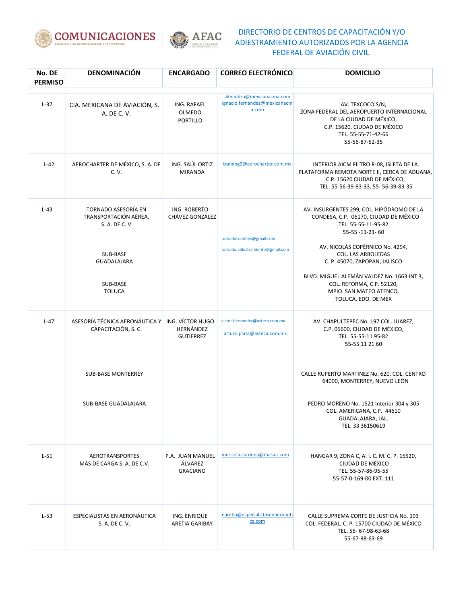



| No. DE<br><b>PERMISO</b> | DENOMINACIÓN                                                                                                                  | <b>ENCARGADO</b>                                  | <b>CORREO ELECTRÓNICO</b>                                         | <b>DOMICILIO</b>                                                                                                                                                                                                                                                                                                                                   |
|--------------------------|-------------------------------------------------------------------------------------------------------------------------------|---------------------------------------------------|-------------------------------------------------------------------|----------------------------------------------------------------------------------------------------------------------------------------------------------------------------------------------------------------------------------------------------------------------------------------------------------------------------------------------------|
| $L-37$                   | CIA. MEXICANA DE AVIACIÓN, S.<br>A. DE C. V.                                                                                  | ING. RAFAEL<br>OLMEDO<br>PORTILLO                 | almaddru@mexicanacma.com<br>ignacio.fernandez@mexicanacm<br>a.com | AV. TEXCOCO S/N,<br>ZONA FEDERAL DEL AEROPUERTO INTERNACIONAL<br>DE LA CIUDAD DE MÉXICO.<br>C.P. 15620, CIUDAD DE MÉXICO<br>TEL. 55-55-71-42-66<br>55-56-87-52-35                                                                                                                                                                                  |
| $L-42$                   | AEROCHARTER DE MÉXICO, S. A. DE<br>C. V.                                                                                      | ING. SAÚL ORTIZ<br><b>MIRANDA</b>                 | training2@aerocharter.com.mx                                      | INTERIOR AICM FILTRO R-08, ISLETA DE LA<br>PLATAFORMA REMOTA NORTE II, CERCA DE ADUANA,<br>C.P. 15620 CIUDAD DE MÉXICO,<br>TEL. 55-56-39-83-33, 55-56-39-83-35                                                                                                                                                                                     |
| $L-43$                   | TORNADO ASESORÍA EN<br>TRANSPORTACIÓN AÉREA,<br>S. A. DE C. V.<br>SUB-BASE<br><b>GUADALAJARA</b><br>SUB-BASE<br><b>TOLUCA</b> | ING. ROBERTO<br>CHÁVEZ GONZÁLEZ                   | tornadotramites@gmail.com<br>tornado.adiestramiento@gmail.com     | AV. INSURGENTES 299, COL. HIPÓDROMO DE LA<br>CONDESA, C.P. 06170, CIUDAD DE MÉXICO<br>TEL. 55-55-11-95-82<br>55-55-11-21-60<br>AV. NICOLÁS COPÉRNICO No. 4294.<br>COL. LAS ARBOLEDAS<br>C. P. 45070, ZAPOPAN, JALISCO<br>BLVD. MIGUEL ALEMÁN VALDEZ No. 1663 INT 3,<br>COL. REFORMA, C.P. 52120,<br>MPIO. SAN MATEO ATENCO,<br>TOLUCA, EDO. DE MEX |
| $L-47$                   | ASESORÍA TÉCNICA AERONÁUTICA Y<br>CAPACITACIÓN, S.C.                                                                          | ING. VÍCTOR HUGO<br>HERNÁNDEZ<br><b>GUTIERREZ</b> | victor.hernandez@asteca.com.mx<br>arturo.plata@asteca.com.mx      | AV. CHAPULTEPEC No. 197 COL. JUAREZ,<br>C.P. 06600, CIUDAD DE MÉXICO,<br>TEL. 55-55-11 95-82<br>55-55 11 21 60                                                                                                                                                                                                                                     |
|                          | <b>SUB-BASE MONTERREY</b><br>SUB-BASE GUADALAJARA                                                                             |                                                   |                                                                   | CALLE RUPERTO MARTINEZ No. 620, COL. CENTRO<br>64000, MONTERREY, NUEVO LEÓN<br>PEDRO MORENO No. 1521 Interior 304 y 305<br>COL. AMERICANA, C.P. 44610<br>GUADALAJARA, JAL.<br>TEL. 33 36150619                                                                                                                                                     |
| $L-51$                   | <b>AEROTRANSPORTES</b><br>MÁS DE CARGA S. A. DE C.V.                                                                          | P.A. JUAN MANUEL<br>ÁLVAREZ<br><b>GRACIANO</b>    | merisela.cardona@masair.com                                       | HANGAR 9, ZONA C, A. I. C. M. C. P. 15520,<br>CIUDAD DE MÉXICO<br>TEL. 55-57-86-95-55<br>55-57-0-169-00 EXT. 111                                                                                                                                                                                                                                   |
| $L-53$                   | ESPECIALISTAS EN AERONÁUTICA<br>S. A. DE C. V.                                                                                | ING. ENRIQUE<br>ARETIA GARIBAY                    | earetia@especialistasenaernauti<br>ca.com                         | CALLE SUPREMA CORTE DE JUSTICIA No. 193<br>COL. FEDERAL, C. P. 15700 CIUDAD DE MÉXICO<br>TEL. 55- 67-98-63-68<br>55-67-98-63-69                                                                                                                                                                                                                    |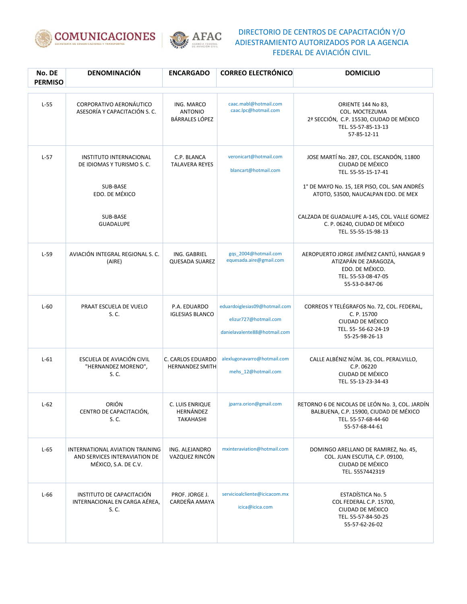



| No. DE<br><b>PERMISO</b> | DENOMINACIÓN                                                                                                              | <b>ENCARGADO</b>                                      | <b>CORREO ELECTRÓNICO</b>                                                              | <b>DOMICILIO</b>                                                                                                                                                                                                                                            |
|--------------------------|---------------------------------------------------------------------------------------------------------------------------|-------------------------------------------------------|----------------------------------------------------------------------------------------|-------------------------------------------------------------------------------------------------------------------------------------------------------------------------------------------------------------------------------------------------------------|
| $L-55$                   | CORPORATIVO AERONÁUTICO<br>ASESORÍA Y CAPACITACIÓN S. C.                                                                  | ING. MARCO<br><b>ANTONIO</b><br><b>BÁRRALES LÓPEZ</b> | caac.mabl@hotmail.com<br>caac.lpc@hotmail.com                                          | ORIENTE 144 No 83,<br>COL. MOCTEZUMA<br>2ª SECCIÓN, C.P. 15530, CIUDAD DE MÉXICO<br>TEL. 55-57-85-13-13<br>57-85-12-11                                                                                                                                      |
| $L-57$                   | <b>INSTITUTO INTERNACIONAL</b><br>DE IDIOMAS Y TURISMO S.C.<br>SUB-BASE<br>EDO. DE MÉXICO<br>SUB-BASE<br><b>GUADALUPE</b> | C.P. BLANCA<br><b>TALAVERA REYES</b>                  | veronicart@hotmail.com<br>blancart@hotmail.com                                         | JOSE MARTÍ No. 287, COL. ESCANDÓN, 11800<br>CIUDAD DE MÉXICO<br>TEL. 55-55-15-17-41<br>1° DE MAYO No. 15, 1ER PISO, COL. SAN ANDRÉS<br>ATOTO, 53500, NAUCALPAN EDO. DE MEX<br>CALZADA DE GUADALUPE A-145, COL. VALLE GOMEZ<br>C. P. 06240, CIUDAD DE MÉXICO |
|                          |                                                                                                                           |                                                       |                                                                                        | TEL. 55-55-15-98-13                                                                                                                                                                                                                                         |
| $L-59$                   | AVIACIÓN INTEGRAL REGIONAL S. C.<br>(AIRE)                                                                                | ING. GABRIEL<br><b>QUESADA SUAREZ</b>                 | ggs 2004@hotmail.com<br>equesada.aire@gmail.com                                        | AEROPUERTO JORGE JIMÉNEZ CANTÚ, HANGAR 9<br>ATIZAPÁN DE ZARAGOZA,<br>EDO. DE MÉXICO.<br>TEL. 55-53-08-47-05<br>55-53-0-847-06                                                                                                                               |
| $L-60$                   | PRAAT ESCUELA DE VUELO<br>S. C.                                                                                           | P.A. EDUARDO<br><b>IGLESIAS BLANCO</b>                | eduardoiglesias09@hotmail.com<br>elizur727@hotmail.com<br>danielavalente88@hotmail.com | CORREOS Y TELÉGRAFOS No. 72, COL. FEDERAL,<br>C. P. 15700<br>CIUDAD DE MÉXICO<br>TEL. 55-56-62-24-19<br>55-25-98-26-13                                                                                                                                      |
| $L-61$                   | ESCUELA DE AVIACIÓN CIVIL<br>"HERNANDEZ MORENO",<br>S. C.                                                                 | C. CARLOS EDUARDO<br><b>HERNANDEZ SMITH</b>           | alexlugonavarro@hotmail.com<br>mehs_12@hotmail.com                                     | CALLE ALBÉNIZ NÚM. 36, COL. PERALVILLO,<br>C.P. 06220<br>CIUDAD DE MÉXICO<br>TEL. 55-13-23-34-43                                                                                                                                                            |
| $L-62$                   | ORIÓN<br>CENTRO DE CAPACITACIÓN,<br>S. C.                                                                                 | C. LUIS ENRIQUE<br>HERNÁNDEZ<br><b>TAKAHASHI</b>      | jparra.orion@gmail.com                                                                 | RETORNO 6 DE NICOLAS DE LEÓN No. 3, COL. JARDÍN<br>BALBUENA, C.P. 15900, CIUDAD DE MÉXICO<br>TEL. 55-57-68-44-60<br>55-57-68-44-61                                                                                                                          |
| $L-65$                   | INTERNATIONAL AVIATION TRAINING<br>AND SERVICES INTERAVIATION DE<br>MÉXICO, S.A. DE C.V.                                  | ING. ALEJANDRO<br>VAZQUEZ RINCÓN                      | mxinteraviation@hotmail.com                                                            | DOMINGO ARELLANO DE RAMIREZ, No. 45,<br>COL. JUAN ESCUTIA, C.P. 09100,<br>CIUDAD DE MÉXICO<br>TEL. 5557442319                                                                                                                                               |
| $L-66$                   | INSTITUTO DE CAPACITACIÓN<br>INTERNACIONAL EN CARGA AÉREA,<br>S. C.                                                       | PROF. JORGE J.<br>CARDEÑA AMAYA                       | servicioalcliente@icicacom.mx<br>icica@icica.com                                       | <b>ESTADÍSTICA No. 5</b><br>COL FEDERAL C.P. 15700,<br>CIUDAD DE MÉXICO<br>TEL. 55-57-84-50-25<br>55-57-62-26-02                                                                                                                                            |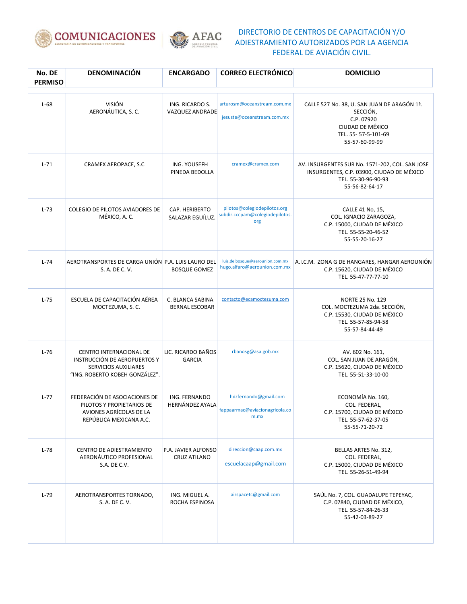



| No. DE<br><b>PERMISO</b> | <b>DENOMINACIÓN</b>                                                                                                      | <b>ENCARGADO</b>                          | <b>CORREO ELECTRÓNICO</b>                                              | <b>DOMICILIO</b>                                                                                                                      |
|--------------------------|--------------------------------------------------------------------------------------------------------------------------|-------------------------------------------|------------------------------------------------------------------------|---------------------------------------------------------------------------------------------------------------------------------------|
| $L-68$                   | <b>VISIÓN</b><br>AERONÁUTICA, S. C.                                                                                      | ING. RICARDO S.<br><b>VAZQUEZ ANDRADE</b> | arturosm@oceanstream.com.mx<br>jesuste@oceanstream.com.mx              | CALLE 527 No. 38, U. SAN JUAN DE ARAGÓN 1ª.<br>SECCIÓN,<br>C.P. 07920<br>CIUDAD DE MÉXICO<br>TEL. 55-57-5-101-69<br>55-57-60-99-99    |
| $L-71$                   | CRAMEX AEROPACE, S.C.                                                                                                    | ING. YOUSEFH<br>PINEDA BEDOLLA            | cramex@cramex.com                                                      | AV. INSURGENTES SUR No. 1571-202, COL. SAN JOSE<br>INSURGENTES, C.P. 03900, CIUDAD DE MÉXICO<br>TEL. 55-30-96-90-93<br>55-56-82-64-17 |
| $L-73$                   | COLEGIO DE PILOTOS AVIADORES DE<br>MÉXICO, A. C.                                                                         | CAP. HERIBERTO<br>SALAZAR EGUÍLUZ.        | pilotos@colegiodepilotos.org<br>subdir.cccpam@colegiodepilotos.<br>org | CALLE 41 No, 15,<br>COL. IGNACIO ZARAGOZA,<br>C.P. 15000, CIUDAD DE MÉXICO<br>TEL. 55-55-20-46-52<br>55-55-20-16-27                   |
| $L-74$                   | AEROTRANSPORTES DE CARGA UNIÓN P.A. LUIS LAURO DEL<br>S. A. DE C. V.                                                     | <b>BOSQUE GOMEZ</b>                       | luis.delbosque@aerounion.com.mx<br>hugo.alfaro@aerounion.com.mx        | A.I.C.M. ZONA G DE HANGARES, HANGAR AEROUNIÓN<br>C.P. 15620, CIUDAD DE MÉXICO<br>TEL. 55-47-77-77-10                                  |
| $L-75$                   | ESCUELA DE CAPACITACIÓN AÉREA<br>MOCTEZUMA, S. C.                                                                        | C. BLANCA SABINA<br><b>BERNAL ESCOBAR</b> | contacto@ecamoctezuma.com                                              | <b>NORTE 25 No. 129</b><br>COL. MOCTEZUMA 2da. SECCIÓN,<br>C.P. 15530, CIUDAD DE MÉXICO<br>TEL. 55-57-85-94-58<br>55-57-84-44-49      |
| $L-76$                   | CENTRO INTERNACIONAL DE<br>INSTRUCCIÓN DE AEROPUERTOS Y<br><b>SERVICIOS AUXILIARES</b><br>"ING. ROBERTO KOBEH GONZÁLEZ". | LIC. RICARDO BAÑOS<br><b>GARCIA</b>       | rbanosg@asa.gob.mx                                                     | AV. 602 No. 161,<br>COL. SAN JUAN DE ARAGÓN,<br>C.P. 15620, CIUDAD DE MÉXICO<br>TEL. 55-51-33-10-00                                   |
| $L-77$                   | FEDERACIÓN DE ASOCIACIONES DE<br>PILOTOS Y PROPIETARIOS DE<br>AVIONES AGRÍCOLAS DE LA<br>REPÚBLICA MEXICANA A.C.         | ING. FERNANDO<br><b>HERNÁNDEZ AYALA</b>   | hdzfernando@gmail.com<br>fappaarmac@aviacionagricola.co<br>m.mx        | ECONOMÍA No. 160,<br>COL. FEDERAL,<br>C.P. 15700, CIUDAD DE MÉXICO<br>TEL. 55-57-62-37-05<br>55-55-71-20-72                           |
| $L-78$                   | <b>CENTRO DE ADIESTRAMIENTO</b><br>AERONÁUTICO PROFESIONAL<br>S.A. DE C.V.                                               | P.A. JAVIER ALFONSO<br>CRUZ ATILANO       | direccion@caap.com.mx<br>escuelacaap@gmail.com                         | BELLAS ARTES No. 312,<br>COL. FEDERAL,<br>C.P. 15000, CIUDAD DE MÉXICO<br>TEL. 55-26-51-49-94                                         |
| $L-79$                   | AEROTRANSPORTES TORNADO,<br>S. A. DE C. V.                                                                               | ING. MIGUEL A.<br>ROCHA ESPINOSA          | airspacetc@gmail.com                                                   | SAÚL No. 7, COL. GUADALUPE TEPEYAC,<br>C.P. 07840, CIUDAD DE MÉXICO,<br>TEL. 55-57-84-26-33<br>55-42-03-89-27                         |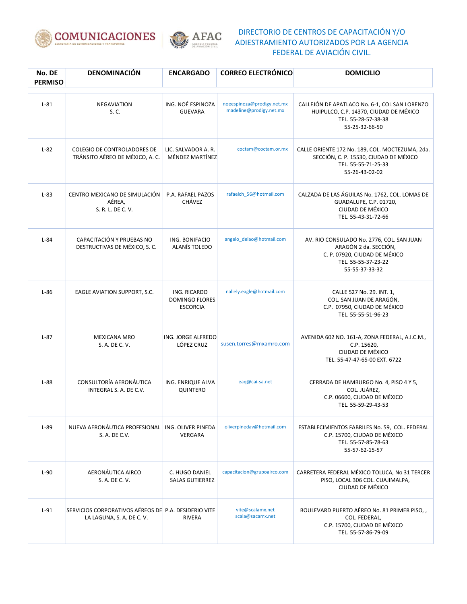



| No. DE<br><b>PERMISO</b> | <b>DENOMINACIÓN</b>                                                               | <b>ENCARGADO</b>                                         | <b>CORREO ELECTRÓNICO</b>                             | <b>DOMICILIO</b>                                                                                                                             |
|--------------------------|-----------------------------------------------------------------------------------|----------------------------------------------------------|-------------------------------------------------------|----------------------------------------------------------------------------------------------------------------------------------------------|
| $L-81$                   | <b>NEGAVIATION</b><br>S. C.                                                       | ING. NOÉ ESPINOZA<br><b>GUEVARA</b>                      | noeespinoza@prodigy.net.mx<br>madeline@prodigy.net.mx | CALLEJÓN DE APATLACO No. 6-1, COL SAN LORENZO<br>HUIPULCO, C.P. 14370, CIUDAD DE MÉXICO<br>TEL. 55-28-57-38-38<br>55-25-32-66-50             |
| $L-82$                   | <b>COLEGIO DE CONTROLADORES DE</b><br>TRÁNSITO AÉREO DE MÉXICO, A. C.             | LIC. SALVADOR A. R.<br>MÉNDEZ MARTÍNEZ                   | coctam@coctam.or.mx                                   | CALLE ORIENTE 172 No. 189, COL. MOCTEZUMA, 2da.<br>SECCIÓN, C. P. 15530, CIUDAD DE MÉXICO<br>TEL. 55-55-71-25-33<br>55-26-43-02-02           |
| $L-83$                   | CENTRO MEXICANO DE SIMULACIÓN<br>AÉREA,<br>S. R. L. DE C. V.                      | P.A. RAFAEL PAZOS<br>CHÁVEZ                              | rafaelch_56@hotmail.com                               | CALZADA DE LAS ÁGUILAS No. 1762, COL. LOMAS DE<br>GUADALUPE, C.P. 01720,<br>CIUDAD DE MÉXICO<br>TEL. 55-43-31-72-66                          |
| $L-84$                   | CAPACITACIÓN Y PRUEBAS NO<br>DESTRUCTIVAS DE MÉXICO, S. C.                        | ING. BONIFACIO<br>ALANÍS TOLEDO                          | angelo_delao@hotmail.com                              | AV. RIO CONSULADO No. 2776, COL. SAN JUAN<br>ARAGÓN 2 da. SECCIÓN,<br>C. P. 07920, CIUDAD DE MÉXICO<br>TEL. 55-55-37-23-22<br>55-55-37-33-32 |
| $L-86$                   | EAGLE AVIATION SUPPORT, S.C.                                                      | ING. RICARDO<br><b>DOMINGO FLORES</b><br><b>ESCORCIA</b> | nallely.eagle@hotmail.com                             | CALLE 527 No. 29. INT. 1,<br>COL. SAN JUAN DE ARAGÓN,<br>C.P. 07950, CIUDAD DE MÉXICO<br>TEL. 55-55-51-96-23                                 |
| $L-87$                   | <b>MEXICANA MRO</b><br>S. A. DE C. V.                                             | ING. JORGE ALFREDO<br>LÓPEZ CRUZ                         | susen.torres@mxamro.com                               | AVENIDA 602 NO. 161-A, ZONA FEDERAL, A.I.C.M.,<br>C.P. 15620,<br>CIUDAD DE MÉXICO<br>TEL. 55-47-47-65-00 EXT. 6722                           |
| $L-88$                   | CONSULTORÍA AERONÁUTICA<br>INTEGRAL S. A. DE C.V.                                 | ING. ENRIQUE ALVA<br>QUINTERO                            | eaq@cai-sa.net                                        | CERRADA DE HAMBURGO No. 4, PISO 4 Y 5,<br>COL. JUÁREZ,<br>C.P. 06600, CIUDAD DE MÉXICO<br>TEL. 55-59-29-43-53                                |
| $L-89$                   | NUEVA AERONÁUTICA PROFESIONAL   ING. OLIVER PINEDA<br>S. A. DE C.V.               | VERGARA                                                  | oliverpinedav@hotmail.com                             | ESTABLECIMIENTOS FABRILES No. 59, COL. FEDERAL<br>C.P. 15700, CIUDAD DE MÉXICO<br>TEL. 55-57-85-78-63<br>55-57-62-15-57                      |
| $L-90$                   | AERONÁUTICA AIRCO<br>S. A. DE C. V.                                               | C. HUGO DANIEL<br><b>SALAS GUTIERREZ</b>                 | capacitacion@grupoairco.com                           | CARRETERA FEDERAL MÉXICO TOLUCA, No 31 TERCER<br>PISO, LOCAL 306 COL. CUAJIMALPA,<br>CIUDAD DE MÉXICO                                        |
| $L-91$                   | SERVICIOS CORPORATIVOS AÉREOS DE P.A. DESIDERIO VITE<br>LA LAGUNA, S. A. DE C. V. | RIVERA                                                   | vite@scalamx.net<br>scala@sacamx.net                  | BOULEVARD PUERTO AÉREO No. 81 PRIMER PISO,,<br>COL. FEDERAL,<br>C.P. 15700, CIUDAD DE MÉXICO<br>TEL. 55-57-86-79-09                          |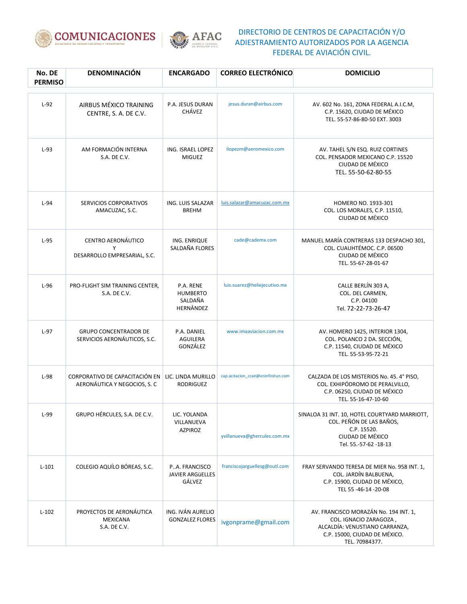



| No. DE<br><b>PERMISO</b> | DENOMINACIÓN                                                   | <b>ENCARGADO</b>                                     | <b>CORREO ELECTRÓNICO</b>          | <b>DOMICILIO</b>                                                                                                                                     |
|--------------------------|----------------------------------------------------------------|------------------------------------------------------|------------------------------------|------------------------------------------------------------------------------------------------------------------------------------------------------|
| $L-92$                   | AIRBUS MÉXICO TRAINING<br>CENTRE, S. A. DE C.V.                | P.A. JESUS DURAN<br><b>CHÁVEZ</b>                    | jesus.duran@airbus.com             | AV. 602 No. 161, ZONA FEDERAL A.I.C.M,<br>C.P. 15620, CIUDAD DE MÉXICO<br>TEL. 55-57-86-80-50 EXT. 3003                                              |
| $L-93$                   | AM FORMACIÓN INTERNA<br>S.A. DE C.V.                           | ING. ISRAEL LOPEZ<br><b>MIGUEZ</b>                   | ilopezm@aeromexico.com             | AV. TAHEL S/N ESQ. RUIZ CORTINES<br>COL. PENSADOR MEXICANO C.P. 15520<br>CIUDAD DE MÉXICO<br>TEL. 55-50-62-80-55                                     |
| $L-94$                   | SERVICIOS CORPORATIVOS<br>AMACUZAC, S.C.                       | ING. LUIS SALAZAR<br><b>BREHM</b>                    | luis.salazar@amacuzac.com.mx       | HOMERO NO. 1933-301<br>COL. LOS MORALES, C.P. 11510,<br>CIUDAD DE MÉXICO                                                                             |
| $L-95$                   | CENTRO AERONÁUTICO<br>Y<br>DESARROLLO EMPRESARIAL, S.C.        | ING. ENRIQUE<br>SALDAÑA FLORES                       | cade@cademx.com                    | MANUEL MARÍA CONTRERAS 133 DESPACHO 301.<br>COL. CUAUHTÉMOC. C.P. 06500<br>CIUDAD DE MÉXICO<br>TEL. 55-67-28-01-67                                   |
| $L-96$                   | PRO-FLIGHT SIM TRAINING CENTER,<br>S.A. DE C.V.                | P.A. RENE<br><b>HUMBERTO</b><br>SALDAÑA<br>HERNÁNDEZ | luis.suarez@heliejecutivo.mx       | CALLE BERLÍN 303 A,<br>COL. DEL CARMEN,<br>C.P. 04100<br>Tel. 72-22-73-26-47                                                                         |
| $L-97$                   | <b>GRUPO CONCENTRADOR DE</b><br>SERVICIOS AERONÁUTICOS, S.C.   | P.A. DANIEL<br>AGUILERA<br>GONZÁLEZ                  | www.imaaviacion.com.mx             | AV. HOMERO 1425, INTERIOR 1304,<br>COL. POLANCO 2 DA. SECCIÓN,<br>C.P. 11540, CIUDAD DE MÉXICO<br>TEL. 55-53-95-72-21                                |
| $L-98$                   | CORPORATIVO DE CAPACITACIÓN EN<br>AERONÁUTICA Y NEGOCIOS, S. C | LIC. LINDA MURILLO<br><b>RODRIGUEZ</b>               | cap.acitacion_ccan@eninfinitun.com | CALZADA DE LOS MISTERIOS No. 45.4° PISO,<br>COL. EXHIPÓDROMO DE PERALVILLO.<br>C.P. 06250, CIUDAD DE MÉXICO<br>TEL. 55-16-47-10-60                   |
| $L-99$                   | GRUPO HÉRCULES, S.A. DE C.V.                                   | LIC. YOLANDA<br>VILLANUEVA<br><b>AZPIROZ</b>         | yvillanueva@ghercules.com.mx       | SINALOA 31 INT. 10, HOTEL COURTYARD MARRIOTT,<br>COL. PEÑÓN DE LAS BAÑOS,<br>C.P. 15520.<br>CIUDAD DE MÉXICO<br>Tel. 55.-57-62 -18-13                |
| $L-101$                  | COLEGIO AQUÍLO BÓREAS, S.C.                                    | PA. FRANCISCO<br><b>JAVIER ARGÜELLES</b><br>GÁLVEZ   | franciscojarguellesg@outl.com      | FRAY SERVANDO TERESA DE MIER No. 958 INT. 1,<br>COL. JARDÍN BALBUENA,<br>C.P. 15900, CIUDAD DE MÉXICO,<br>TEL 55 -46-14 -20-08                       |
| $L-102$                  | PROYECTOS DE AERONÁUTICA<br><b>MEXICANA</b><br>S.A. DE C.V.    | ING. IVÁN AURELIO<br><b>GONZALEZ FLORES</b>          | ivgonprame@gmail.com               | AV. FRANCISCO MORAZÁN No. 194 INT. 1,<br>COL. IGNACIO ZARAGOZA,<br>ALCALDÍA: VENUSTIANO CARRANZA,<br>C.P. 15000, CIUDAD DE MÉXICO.<br>TEL. 70984377. |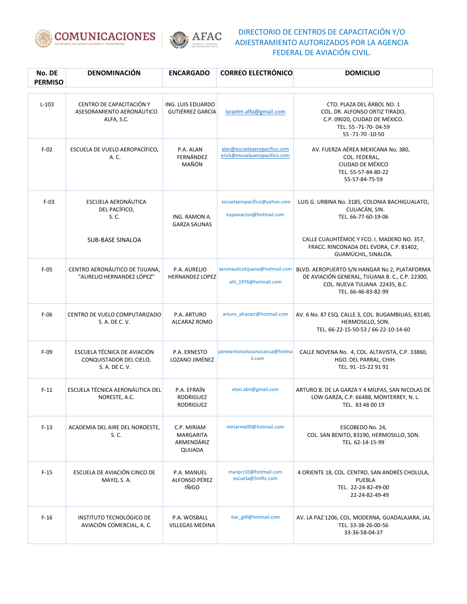



| No. DE<br><b>PERMISO</b> | <b>DENOMINACIÓN</b>                                                      | <b>ENCARGADO</b>                                         | <b>CORREO ELECTRÓNICO</b>                                     | <b>DOMICILIO</b>                                                                                                                                         |
|--------------------------|--------------------------------------------------------------------------|----------------------------------------------------------|---------------------------------------------------------------|----------------------------------------------------------------------------------------------------------------------------------------------------------|
| $L-103$                  | CENTRO DE CAPACITACIÓN Y<br>ASESORAMIENTO AERONÁUTICO<br>ALFA, S.C.      | ING. LUIS EDUARDO<br><b>GUTIÉRREZ GARCÍA</b>             | israelm.alfa@gmail.com                                        | CTO. PLAZA DEL ÁRBOL NO. 1<br>COL. DR. ALFONSO ORTIZ TIRADO,<br>C.P. 09020, CIUDAD DE MÉXICO.<br>TEL. 55 -71-70-04-59<br>55 - 71 - 70 - 10 - 50          |
| $F-02$                   | ESCUELA DE VUELO AEROPACÍFICO,<br>A. C.                                  | P.A. ALAN<br>FERNÁNDEZ<br>MAÑÓN                          | alan@escuelaaeropacifico.com<br>erick@escuelaaeropacifico.com | AV. FUERZA AÉREA MEXICANA No. 380,<br>COL. FEDERAL,<br>CIUDAD DE MÉXICO<br>TEL. 55-57-84-80-22<br>55-57-84-75-59                                         |
| $F-03$                   | ESCUELA AERONÁUTICA<br>DEL PACÍFICO,<br>S. C.                            | ING. RAMON A.<br><b>GARZA SALINAS</b>                    | escuelaeropacifico@yahoo.com<br>eapaviacion@hotmail.com       | LUIS G. URBINA No. 3185, COLONIA BACHIGUALATO,<br>CULIACÁN, SIN.<br>TEL. 66-77-60-19-06                                                                  |
|                          | SUB-BASE SINALOA                                                         |                                                          |                                                               | CALLE CUAUHTÉMOC Y FCO. I. MADERO NO. 357,<br>FRACC. RINCONADA DEL EVORA, C.P. 81402,<br>GUAMÚCHIL, SINALOA.                                             |
| $F-05$                   | CENTRO AERONÁUTICO DE TIJUANA,<br>"AURELIO HERNANDEZ LÓPEZ"              | P.A. AURELIO<br><b>HERNANDEZ LOPEZ</b>                   | aeronauticotijuana@hotmail.com<br>ahl 1976@hotmail.com        | BLVD. AEROPUERTO S/N HANGAR No 2, PLATAFORMA<br>DE AVIACIÓN GENERAL, TIJUANA B. C., C.P. 22300,<br>COL. NUEVA TIJUANA 22435, B.C.<br>TEL. 66-46-83-82-99 |
| $F-06$                   | CENTRO DE VUELO COMPUTARIZADO<br>S. A. DE C. V.                          | P.A. ARTURO<br>ALCARAZ ROMO                              | arturo_alcarazr@hotmail.com                                   | AV. 6 No. 87 ESQ. CALLE 3, COL. BUGAMBILIAS, 83140,<br>HERMOSILLO, SON.<br>TEL. 66-22-15-50-53 / 66-22-10-14-60                                          |
| $F-09$                   | ESCUELA TÉCNICA DE AVIACIÓN<br>CONQUISTADOR DEL CIELO,<br>S. A. DE C. V. | P.A. ERNESTO<br>LOZANO JIMÉNEZ                           | jaimeantoniolozanocaissa@hotma<br>il.com                      | CALLE NOVENA No. 4, COL. ALTAVISTA, C.P. 33860,<br>HGO. DEL PARRAL, CHIH.<br>TEL. 91-15-22 91 91                                                         |
| $F-11$                   | ESCUELA TÉCNICA AERONÁUTICA DEL<br>NORESTE, A.C.                         | P.A. EFRAÍN<br><b>RODRIGUEZ</b><br><b>RODRIGUEZ</b>      | etan.abn@gmail.com                                            | ARTURO B. DE LA GARZA Y 4 MILPAS, SAN NICOLAS DE<br>LOW GARZA, C.P. 66488, MONTERREY, N. L.<br>TEL. 83 48 00 19                                          |
| $F-13$                   | ACADEMIA DEL AIRE DEL NOROESTE,<br>S. C.                                 | C.P. MIRIAM<br><b>MARGARITA</b><br>ARMENDÁRIZ<br>QUIJADA | miriarme00@hotmail.com                                        | ESCOBEDO No. 24,<br>COL. SAN BENITO, 83190, HERMOSILLO, SON.<br>TEL. 62-14-15-99                                                                         |
| $F-15$                   | ESCUELA DE AVIACIÓN CINCO DE<br>MAYO, S. A.                              | P.A. MANUEL<br>ALFONSO PÉREZ<br>IÑIGO                    | manprz10@hotmail.com<br>escuela@5mftc.com                     | 4 ORIENTE 18, COL. CENTRO, SAN ANDRÉS CHOLULA,<br>PUEBLA<br>TEL. 22-24-82-49-00<br>22-24-82-49-49                                                        |
| $F-16$                   | <b>INSTITUTO TECNOLÓGICO DE</b><br>AVIACIÓN COMERCIAL, A. C.             | P.A. WOSBALL<br><b>VILLEGAS MEDINA</b>                   | itac_gdl@hotmail.com                                          | AV. LA PAZ 1206, COL. MODERNA, GUADALAJARA, JAL<br>TEL. 33-38-26-00-56<br>33-36-58-04-37                                                                 |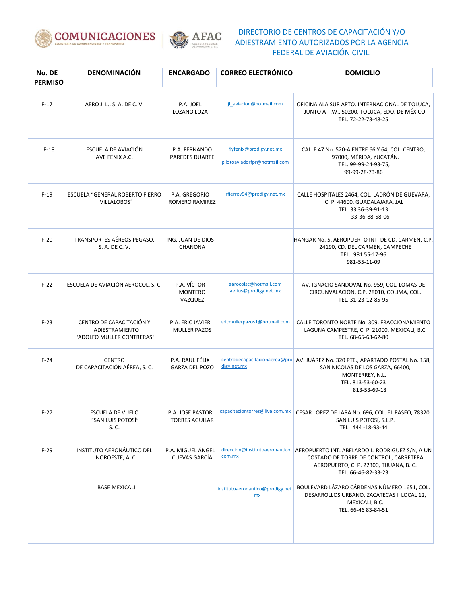



| No. DE<br><b>PERMISO</b> | <b>DENOMINACIÓN</b>                                                     | <b>ENCARGADO</b>                          | <b>CORREO ELECTRÓNICO</b>                               | <b>DOMICILIO</b>                                                                                                                                                                              |
|--------------------------|-------------------------------------------------------------------------|-------------------------------------------|---------------------------------------------------------|-----------------------------------------------------------------------------------------------------------------------------------------------------------------------------------------------|
| $F-17$                   | AERO J. L., S. A. DE C. V.                                              | P.A. JOEL<br>LOZANO LOZA                  | jl aviacion@hotmail.com                                 | OFICINA ALA SUR APTO. INTERNACIONAL DE TOLUCA,<br>JUNTO A T.W., 50200, TOLUCA, EDO. DE MÉXICO.<br>TEL. 72-22-73-48-25                                                                         |
| $F-18$                   | ESCUELA DE AVIACIÓN<br>AVE FÉNIX A.C.                                   | P.A. FERNANDO<br><b>PAREDES DUARTE</b>    | flyfenix@prodigy.net.mx<br>pilotoaviadorfpr@hotmail.com | CALLE 47 No. 520-A ENTRE 66 Y 64, COL. CENTRO,<br>97000, MÉRIDA, YUCATÁN.<br>TEL. 99-99-24-93-75,<br>99-99-28-73-86                                                                           |
| $F-19$                   | ESCUELA "GENERAL ROBERTO FIERRO<br>VILLALOBOS"                          | P.A. GREGORIO<br>ROMERO RAMIREZ           | rfierrov94@prodigy.net.mx                               | CALLE HOSPITALES 2464, COL. LADRÓN DE GUEVARA,<br>C. P. 44600, GUADALAJARA, JAL<br>TEL. 33 36-39-91-13<br>33-36-88-58-06                                                                      |
| $F-20$                   | TRANSPORTES AÉREOS PEGASO,<br>S. A. DE C. V.                            | ING. JUAN DE DIOS<br><b>CHANONA</b>       |                                                         | HANGAR No. 5, AEROPUERTO INT. DE CD. CARMEN, C.P.<br>24190, CD. DEL CARMEN, CAMPECHE<br>TEL. 981 55-17-96<br>981-55-11-09                                                                     |
| $F-22$                   | ESCUELA DE AVIACIÓN AEROCOL, S. C.                                      | P.A. VÍCTOR<br><b>MONTERO</b><br>VAZQUEZ  | aerocolsc@hotmail.com<br>aerius@prodigy.net.mx          | AV. IGNACIO SANDOVAL No. 959, COL. LOMAS DE<br>CIRCUNVALACIÓN, C.P. 28010, COLIMA, COL.<br>TEL. 31-23-12-85-95                                                                                |
| $F-23$                   | CENTRO DE CAPACITACIÓN Y<br>ADIESTRAMIENTO<br>"ADOLFO MULLER CONTRERAS" | P.A. ERIC JAVIER<br><b>MULLER PAZOS</b>   | ericmullerpazos1@hotmail.com                            | CALLE TORONTO NORTE No. 309, FRACCIONAMIENTO<br>LAGUNA CAMPESTRE, C. P. 21000, MEXICALI, B.C.<br>TEL. 68-65-63-62-80                                                                          |
| $F-24$                   | <b>CENTRO</b><br>DE CAPACITACIÓN AÉREA, S. C.                           | P.A. RAUL FÉLIX<br><b>GARZA DEL POZO</b>  | digy.net.mx                                             | centrodecapacitacionaerea@pro AV. JUÁREZ No. 320 PTE., APARTADO POSTAL No. 158,<br>SAN NICOLÁS DE LOS GARZA, 66400,<br>MONTERREY, N.L.<br>TEL. 813-53-60-23<br>813-53-69-18                   |
| $F-27$                   | ESCUELA DE VUELO<br>"SAN LUIS POTOSÍ"<br>S. C.                          | P.A. JOSE PASTOR<br><b>TORRES AGUILAR</b> | capacitaciontorres@live.com.mx                          | CESAR LOPEZ DE LARA No. 696, COL. EL PASEO, 78320,<br>SAN LUIS POTOSÍ, S.L.P.<br>TEL. 444-18-93-44                                                                                            |
| $F-29$                   | <b>INSTITUTO AERONÁUTICO DEL</b><br>NOROESTE, A.C.                      | P.A. MIGUEL ÁNGEL<br><b>CUEVAS GARCÍA</b> | com.mx                                                  | direccion@institutoaeronautico.   AEROPUERTO INT. ABELARDO L. RODRIGUEZ S/N, A UN<br>COSTADO DE TORRE DE CONTROL, CARRETERA<br>AEROPUERTO, C. P. 22300, TIJUANA, B. C.<br>TEL. 66-46-82-33-23 |
|                          | <b>BASE MEXICALI</b>                                                    |                                           | institutoaeronautico@prodigy.net.<br>mx                 | BOULEVARD LÁZARO CÁRDENAS NÚMERO 1651, COL.<br>DESARROLLOS URBANO, ZACATECAS II LOCAL 12,<br>MEXICALI, B.C.<br>TEL. 66-46 83-84-51                                                            |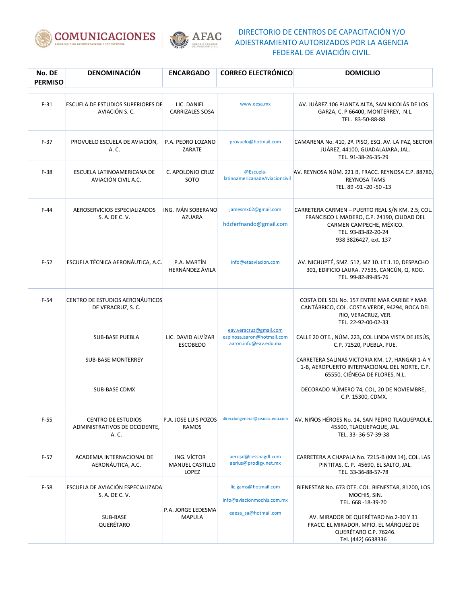



| No. DE<br><b>PERMISO</b> | <b>DENOMINACIÓN</b>                                                 | <b>ENCARGADO</b>                               | <b>CORREO ELECTRÓNICO</b>                                                     | <b>DOMICILIO</b>                                                                                                                                                            |
|--------------------------|---------------------------------------------------------------------|------------------------------------------------|-------------------------------------------------------------------------------|-----------------------------------------------------------------------------------------------------------------------------------------------------------------------------|
| $F-31$                   | <b>ESCUELA DE ESTUDIOS SUPERIORES DE</b><br>AVIACIÓN S.C.           | LIC. DANIEL<br><b>CARRIZALES SOSA</b>          | www.eesa.mx                                                                   | AV. JUÁREZ 106 PLANTA ALTA, SAN NICOLÁS DE LOS<br>GARZA, C. P 66400, MONTERREY, N.L.<br>TEL. 83-50-88-88                                                                    |
| $F-37$                   | PROVUELO ESCUELA DE AVIACIÓN,<br>A. C.                              | P.A. PEDRO LOZANO<br>ZARATE                    | provuelo@hotmail.com                                                          | CAMARENA No. 410, 2º. PISO, ESQ. AV. LA PAZ, SECTOR<br>JUÁREZ, 44100, GUADALAJARA, JAL.<br>TEL. 91-38-26-35-29                                                              |
| $F-38$                   | ESCUELA LATINOAMERICANA DE<br>AVIACIÓN CIVIL A.C.                   | C. APOLONIO CRUZ<br>SOTO                       | @Escuela-<br>latinoamericanadeAviacioncivil                                   | AV. REYNOSA NÚM. 221 B, FRACC. REYNOSA C.P. 88780,<br><b>REYNOSA TAMS</b><br>TEL. 89-91-20-50-13                                                                            |
| $F-44$                   | AEROSERVICIOS ESPECIALIZADOS<br>S. A. DE C. V.                      | ING. IVÁN SOBERANO<br><b>AZUARA</b>            | jamesmx02@gmail.com<br>hdzferfnando@gmail.com                                 | CARRETERA CARMEN - PUERTO REAL S/N KM. 2.5, COL.<br>FRANCISCO I. MADERO, C.P. 24190, CIUDAD DEL<br>CARMEN CAMPECHE, MÉXICO.<br>TEL. 93-83-82-20-24<br>938 3826427, ext. 137 |
| $F-52$                   | ESCUELA TÉCNICA AERONÁUTICA. A.C.                                   | P.A. MARTÍN<br><b>HERNÁNDEZ ÁVILA</b>          | info@etaaviacion.com                                                          | AV. NICHUPTÉ, SMZ. 512, MZ 10. LT.1.10, DESPACHO<br>301, EDIFICIO LAURA. 77535, CANCÚN, Q. ROO.<br>TEL. 99-82-89-85-76                                                      |
| $F-54$                   | CENTRO DE ESTUDIOS AERONÁUTICOS<br>DE VERACRUZ, S. C.               |                                                |                                                                               | COSTA DEL SOL No. 157 ENTRE MAR CARIBE Y MAR<br>CANTÁBRICO, COL. COSTA VERDE, 94294, BOCA DEL<br>RIO, VERACRUZ, VER.<br>TEL. 22-92-00-02-33                                 |
|                          | <b>SUB-BASE PUEBLA</b>                                              | LIC. DAVID ALVÍZAR<br><b>ESCOBEDO</b>          | eav.veracruz@gmail.com<br>espinosa.aaron@hotmail.com<br>aaron.info@eav.edu.mx | CALLE 20 OTE., NÚM. 223, COL LINDA VISTA DE JESÚS,<br>C.P. 72520, PUEBLA, PUE.                                                                                              |
|                          | <b>SUB-BASE MONTERREY</b>                                           |                                                |                                                                               | CARRETERA SALINAS VICTORIA KM. 17, HANGAR 1-A Y<br>1-B, AEROPUERTO INTERNACIONAL DEL NORTE, C.P.<br>65550, CIÉNEGA DE FLORES, N.L.                                          |
|                          | <b>SUB-BASE CDMX</b>                                                |                                                |                                                                               | DECORADO NÚMERO 74, COL, 20 DE NOVIEMBRE,<br>C.P. 15300, CDMX.                                                                                                              |
| $F-55$                   | <b>CENTRO DE ESTUDIOS</b><br>ADMINISTRATIVOS DE OCCIDENTE.<br>A. C. | P.A. JOSE LUIS POZOS<br><b>RAMOS</b>           | direcciongeneral@ceaoac.edu.com                                               | AV. NIÑOS HÉROES No. 14, SAN PEDRO TLAQUEPAQUE,<br>45500, TLAQUEPAQUE, JAL.<br>TEL. 33-36-57-39-38                                                                          |
| $F-57$                   | ACADEMIA INTERNACIONAL DE<br>AERONÁUTICA, A.C.                      | ING. VÍCTOR<br><b>MANUEL CASTILLO</b><br>LOPEZ | aerojal@cessnagdl.com<br>aerius@prodigy.net.mx                                | CARRETERA A CHAPALA No. 7215-B (KM 14), COL. LAS<br>PINTITAS, C. P. 45690, EL SALTO, JAL.<br>TEL. 33-36-88-57-78                                                            |
| $F-58$                   | ESCUELA DE AVIACIÓN ESPECIALIZADA<br>S. A. DE C. V.                 |                                                | lic.gams@hotmail.com<br>info@aviacionmochis.com.mx                            | BIENESTAR No. 673 OTE. COL. BIENESTAR, 81200, LOS<br>MOCHIS, SIN.<br>TEL. 668 -18-39-70                                                                                     |
|                          | SUB-BASE<br>QUERÉTARO                                               | P.A. JORGE LEDESMA<br><b>MAPULA</b>            | eaesa_sa@hotmail.com                                                          | AV. MIRADOR DE QUERÉTARO No.2-30 Y 31<br>FRACC. EL MIRADOR, MPIO. EL MÁRQUEZ DE<br>QUERÉTARO C.P. 76246.<br>Tel. (442) 6638336                                              |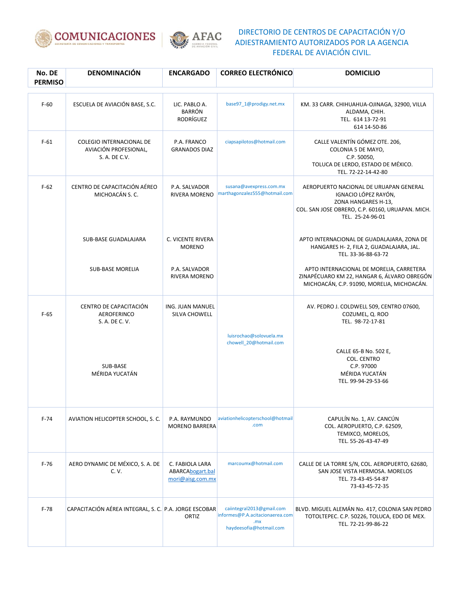



| No. DE<br><b>PERMISO</b> | DENOMINACIÓN                                                              | <b>ENCARGADO</b>                                        | <b>CORREO ELECTRÓNICO</b>                                                                      | <b>DOMICILIO</b>                                                                                                                                              |
|--------------------------|---------------------------------------------------------------------------|---------------------------------------------------------|------------------------------------------------------------------------------------------------|---------------------------------------------------------------------------------------------------------------------------------------------------------------|
| $F-60$                   | ESCUELA DE AVIACIÓN BASE, S.C.                                            | LIC. PABLO A.<br><b>BARRÓN</b><br>RODRÍGUEZ             | base97_1@prodigy.net.mx                                                                        | KM. 33 CARR. CHIHUAHUA-OJINAGA, 32900, VILLA<br>ALDAMA, CHIH.<br>TEL. 614 13-72-91<br>614 14-50-86                                                            |
| $F-61$                   | <b>COLEGIO INTERNACIONAL DE</b><br>AVIACIÓN PROFESIONAL,<br>S. A. DE C.V. | P.A. FRANCO<br><b>GRANADOS DIAZ</b>                     | ciapsapilotos@hotmail.com                                                                      | CALLE VALENTÍN GÓMEZ OTE. 206,<br>COLONIA 5 DE MAYO,<br>C.P. 50050,<br>TOLUCA DE LERDO, ESTADO DE MÉXICO.<br>TEL. 72-22-14-42-80                              |
| $F-62$                   | CENTRO DE CAPACITACIÓN AÉREO<br>MICHOACÁN S. C.                           | P.A. SALVADOR<br>RIVERA MORENO                          | susana@avexpress.com.mx<br>marthagonzalez555@hotmail.com                                       | AEROPUERTO NACIONAL DE URUAPAN GENERAL<br>IGNACIO LÓPEZ RAYÓN,<br>ZONA HANGARES H-13,<br>COL. SAN JOSE OBRERO, C.P. 60160, URUAPAN. MICH.<br>TEL. 25-24-96-01 |
|                          | SUB-BASE GUADALAJARA                                                      | C. VICENTE RIVERA<br><b>MORENO</b>                      |                                                                                                | APTO INTERNACIONAL DE GUADALAJARA, ZONA DE<br>HANGARES H- 2, FILA 2, GUADALAJARA, JAL.<br>TEL. 33-36-88-63-72                                                 |
|                          | <b>SUB-BASE MORELIA</b>                                                   | P.A. SALVADOR<br>RIVERA MORENO                          |                                                                                                | APTO INTERNACIONAL DE MORELIA, CARRETERA<br>ZINAPÉCUARO KM 22, HANGAR 6, ÁLVARO OBREGÓN<br>MICHOACÁN, C.P. 91090, MORELIA, MICHOACÁN.                         |
| $F-65$                   | CENTRO DE CAPACITACIÓN<br>AEROFERINCO<br>S. A. DE C. V.                   | ING. JUAN MANUEL<br>SILVA CHOWELL                       |                                                                                                | AV. PEDRO J. COLDWELL 509, CENTRO 07600,<br>COZUMEL, Q. ROO<br>TEL. 98-72-17-81                                                                               |
|                          | SUB-BASE<br>MÉRIDA YUCATÁN                                                |                                                         | luisrochao@solovuela.mx<br>chowell_20@hotmail.com                                              | CALLE 65-B No. 502 E,<br>COL. CENTRO<br>C.P. 97000<br>MÉRIDA YUCATÁN<br>TEL. 99-94-29-53-66                                                                   |
| $F-74$                   | AVIATION HELICOPTER SCHOOL, S. C.                                         | P.A. RAYMUNDO<br><b>MORENO BARRERA</b>                  | aviationhelicopterschool@hotmail<br>.com                                                       | CAPULÍN No. 1, AV. CANCÚN<br>COL. AEROPUERTO, C.P. 62509,<br>TEMIXCO, MORELOS,<br>TEL. 55-26-43-47-49                                                         |
| $F-76$                   | AERO DYNAMIC DE MÉXICO, S. A. DE<br>C. V.                                 | C. FABIOLA LARA<br>ABARCAbogart.bal<br>mori@aisg.com.mx | marcoumx@hotmail.com                                                                           | CALLE DE LA TORRE S/N, COL. AEROPUERTO, 62680,<br>SAN JOSE VISTA HERMOSA. MORELOS<br>TEL. 73-43-45-54-87<br>73-43-45-72-35                                    |
| $F-78$                   | CAPACITACIÓN AÉREA INTEGRAL, S. C. P.A. JORGE ESCOBAR                     | ORTIZ                                                   | caiintegral2013@gmail.com<br>informes@P.A.acitacionaerea.com<br>,mx<br>haydeesofia@hotmail.com | BLVD. MIGUEL ALEMÁN No. 417, COLONIA SAN PEDRO<br>TOTOLTEPEC. C.P. 50226, TOLUCA, EDO DE MEX.<br>TEL. 72-21-99-86-22                                          |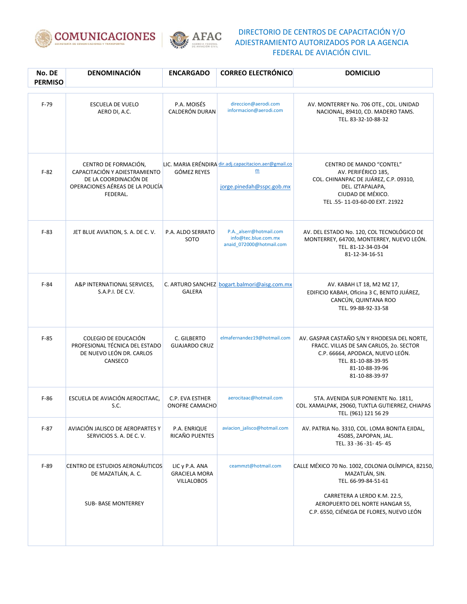



| No. DE<br><b>PERMISO</b> | DENOMINACIÓN                                                                                                                   | <b>ENCARGADO</b>                                            | <b>CORREO ELECTRÓNICO</b>                                                                             | <b>DOMICILIO</b>                                                                                                                                                                                           |
|--------------------------|--------------------------------------------------------------------------------------------------------------------------------|-------------------------------------------------------------|-------------------------------------------------------------------------------------------------------|------------------------------------------------------------------------------------------------------------------------------------------------------------------------------------------------------------|
| $F-79$                   | <b>ESCUELA DE VUELO</b><br>AERO DI, A.C.                                                                                       | P.A. MOISÉS<br>CALDERÓN DURAN                               | direccion@aerodi.com<br>informacion@aerodi.com                                                        | AV. MONTERREY No. 706 OTE., COL. UNIDAD<br>NACIONAL, 89410, CD. MADERO TAMS.<br>TEL. 83-32-10-88-32                                                                                                        |
| $F-82$                   | CENTRO DE FORMACIÓN,<br>CAPACITACIÓN Y ADIESTRAMIENTO<br>DE LA COORDINACIÓN DE<br>OPERACIONES AÉREAS DE LA POLICÍA<br>FEDERAL. | <b>GÓMEZ REYES</b>                                          | LIC. MARIA ERÉNDIRA dir.adj.capacitacion.aer@gmail.co<br>$\underline{m}$<br>jorge.pinedah@sspc.gob.mx | CENTRO DE MANDO "CONTEL"<br>AV. PERIFÉRICO 185,<br>COL. CHINANPAC DE JUÁREZ, C.P. 09310,<br>DEL. IZTAPALAPA,<br>CIUDAD DE MÉXICO.<br>TEL.55-11-03-60-00 EXT. 21922                                         |
| $F-83$                   | JET BLUE AVIATION, S. A. DE C. V.                                                                                              | P.A. ALDO SERRATO<br>SOTO                                   | P.A. alserr@hotmail.com<br>info@tec.blue.com.mx<br>anaid_072000@hotmail.com                           | AV. DEL ESTADO No. 120, COL TECNOLÓGICO DE<br>MONTERREY, 64700, MONTERREY, NUEVO LEÓN.<br>TEL. 81-12-34-03-04<br>81-12-34-16-51                                                                            |
| $F-84$                   | A&P INTERNATIONAL SERVICES,<br>S.A.P.I. DE C.V.                                                                                | <b>GALERA</b>                                               | C. ARTURO SANCHEZ bogart.balmori@aisg.com.mx                                                          | AV. KABAH LT 18, M2 MZ 17,<br>EDIFICIO KABAH, Oficina 3 C, BENITO JUÁREZ,<br>CANCÚN, QUINTANA ROO<br>TEL. 99-88-92-33-58                                                                                   |
| $F-85$                   | COLEGIO DE EDUCACIÓN<br>PROFESIONAL TÉCNICA DEL ESTADO<br>DE NUEVO LEÓN DR. CARLOS<br>CANSECO                                  | C. GILBERTO<br><b>GUAJARDO CRUZ</b>                         | elmafernandez19@hotmail.com                                                                           | AV. GASPAR CASTAÑO S/N Y RHODESIA DEL NORTE,<br>FRACC. VILLAS DE SAN CARLOS, 20. SECTOR<br>C.P. 66664, APODACA, NUEVO LEÓN.<br>TEL. 81-10-88-39-95<br>81-10-88-39-96<br>81-10-88-39-97                     |
| $F-86$                   | ESCUELA DE AVIACIÓN AEROCITAAC,<br>S.C.                                                                                        | C.P. EVA ESTHER<br>ONOFRE CAMACHO                           | aerocitaac@hotmail.com                                                                                | 5TA. AVENIDA SUR PONIENTE No. 1811,<br>COL. XAMALPAK, 29060, TUXTLA GUTIERREZ, CHIAPAS<br>TEL. (961) 121 56 29                                                                                             |
| $F-87$                   | AVIACIÓN JALISCO DE AEROPARTES Y<br>SERVICIOS S. A. DE C. V.                                                                   | P.A. ENRIQUE<br>RICAÑO PUENTES                              | aviacion_jalisco@hotmail.com                                                                          | AV. PATRIA No. 3310, COL. LOMA BONITA EJIDAL,<br>45085, ZAPOPAN, JAL.<br>TEL. 33 - 36 - 31 - 45 - 45                                                                                                       |
| $F-89$                   | CENTRO DE ESTUDIOS AERONÁUTICOS<br>DE MAZATLÁN, A. C.<br><b>SUB- BASE MONTERREY</b>                                            | LIC y P.A. ANA<br><b>GRACIELA MORA</b><br><b>VILLALOBOS</b> | ceammzt@hotmail.com                                                                                   | CALLE MÉXICO 70 No. 1002, COLONIA OLÍMPICA, 82150,<br>MAZATLÁN, SIN.<br>TEL. 66-99-84-51-61<br>CARRETERA A LERDO K.M. 22.5,<br>AEROPUERTO DEL NORTE HANGAR 55,<br>C.P. 6550, CIÉNEGA DE FLORES, NUEVO LEÓN |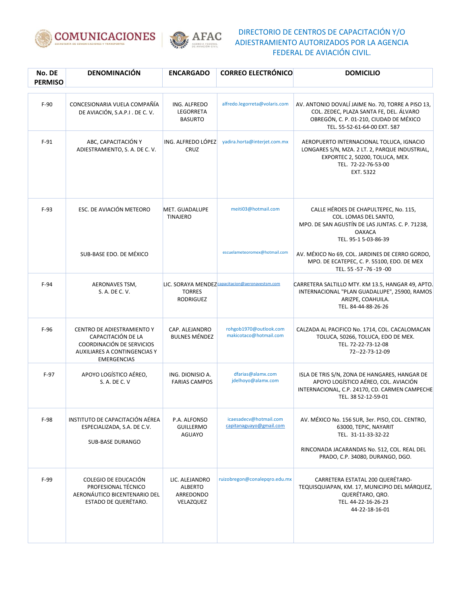



| No. DE<br><b>PERMISO</b> | <b>DENOMINACIÓN</b>                                                                                                                        | <b>ENCARGADO</b>                                    | <b>CORREO ELECTRÓNICO</b>                         | <b>DOMICILIO</b>                                                                                                                                                        |
|--------------------------|--------------------------------------------------------------------------------------------------------------------------------------------|-----------------------------------------------------|---------------------------------------------------|-------------------------------------------------------------------------------------------------------------------------------------------------------------------------|
| $F-90$                   | CONCESIONARIA VUELA COMPAÑÍA<br>DE AVIACIÓN, S.A.P.I. DE C.V.                                                                              | ING. ALFREDO<br>LEGORRETA<br><b>BASURTO</b>         | alfredo.legorreta@volaris.com                     | AV. ANTONIO DOVALÍ JAIME No. 70, TORRE A PISO 13,<br>COL. ZEDEC, PLAZA SANTA FE, DEL. ÁLVARO<br>OBREGÓN, C. P. 01-210, CIUDAD DE MÉXICO<br>TEL. 55-52-61-64-00 EXT. 587 |
| $F-91$                   | ABC, CAPACITACIÓN Y<br>ADIESTRAMIENTO, S. A. DE C. V.                                                                                      | ING. ALFREDO LÓPEZ<br>CRUZ                          | yadira.horta@interjet.com.mx                      | AEROPUERTO INTERNACIONAL TOLUCA, IGNACIO<br>LONGARES S/N, MZA. 2 LT. 2, PARQUE INDUSTRIAL,<br>EXPORTEC 2, 50200, TOLUCA, MEX.<br>TEL. 72-22-76-53-00<br>EXT. 5322       |
| $F-93$                   | ESC. DE AVIACIÓN METEORO                                                                                                                   | MET. GUADALUPE<br><b>TINAJERO</b>                   | meiti03@hotmail.com                               | CALLE HÉROES DE CHAPULTEPEC, No. 115,<br>COL. LOMAS DEL SANTO,<br>MPO. DE SAN AGUSTÍN DE LAS JUNTAS. C. P. 71238,<br><b>OAXACA</b><br>TEL. 95-1 5-03-86-39              |
|                          | SUB-BASE EDO. DE MÉXICO                                                                                                                    |                                                     | escuelameteoromex@hotmail.com                     | AV. MÉXICO No 69, COL. JARDINES DE CERRO GORDO,<br>MPO. DE ECATEPEC, C. P. 55100, EDO. DE MEX<br>TEL. 55 - 57 - 76 - 19 - 00                                            |
| $F-94$                   | AERONAVES TSM,<br>S. A. DE C. V.                                                                                                           | <b>TORRES</b><br><b>RODRIGUEZ</b>                   | LIC. SORAYA MENDEZ capacitacion@aeronavestsm.com  | CARRETERA SALTILLO MTY. KM 13.5, HANGAR 49, APTO.<br>INTERNACIONAL "PLAN GUADALUPE", 25900, RAMOS<br>ARIZPE, COAHUILA.<br>TEL. 84-44-88-26-26                           |
| $F-96$                   | CENTRO DE ADIESTRAMIENTO Y<br>CAPACITACIÓN DE LA<br>COORDINACIÓN DE SERVICIOS<br><b>AUXILIARES A CONTINGENCIAS Y</b><br><b>EMERGENCIAS</b> | CAP. ALEJANDRO<br><b>BULNES MÉNDEZ</b>              | rohgob1970@outlook.com<br>makicotaco@hotmail.com  | CALZADA AL PACIFICO No. 1714, COL. CACALOMACAN<br>TOLUCA, 50266, TOLUCA, EDO DE MEX.<br>TEL. 72-22-73-12-08<br>72--22-73-12-09                                          |
| $F-97$                   | APOYO LOGÍSTICO AÉREO,<br>S. A. DE C. V                                                                                                    | ING. DIONISIO A.<br><b>FARIAS CAMPOS</b>            | dfarias@alamx.com<br>jdelhoyo@alamx.com           | ISLA DE TRIS S/N, ZONA DE HANGARES, HANGAR DE<br>APOYO LOGÍSTICO AÉREO, COL. AVIACIÓN<br>INTERNACIONAL, C.P. 24170, CD. CARMEN CAMPECHE<br>TEL. 38 52-12-59-01          |
| $F-98$                   | INSTITUTO DE CAPACITACIÓN AÉREA<br>ESPECIALIZADA, S.A. DE C.V.<br><b>SUB-BASE DURANGO</b>                                                  | P.A. ALFONSO<br><b>GUILLERMO</b><br>AGUAYO          | icaesadecv@hotmail.com<br>capitanaguayo@gmail.com | AV. MÉXICO No. 156 SUR, 3er. PISO, COL. CENTRO,<br>63000, TEPIC, NAYARIT<br>TEL. 31-11-33-32-22<br>RINCONADA JACARANDAS No. 512, COL. REAL DEL                          |
|                          |                                                                                                                                            |                                                     |                                                   | PRADO, C.P. 34080, DURANGO, DGO.                                                                                                                                        |
| $F-99$                   | COLEGIO DE EDUCACIÓN<br>PROFESIONAL TÉCNICO<br>AERONÁUTICO BICENTENARIO DEL<br>ESTADO DE QUERÉTARO.                                        | LIC. ALEJANDRO<br>ALBERTO<br>ARREDONDO<br>VELAZQUEZ | ruizobregon@conalepqro.edu.mx                     | CARRETERA ESTATAL 200 QUERÉTARO-<br>TEQUISQUIAPAN, KM. 17, MUNICIPIO DEL MÁRQUEZ,<br>QUERÉTARO, QRO.<br>TEL. 44-22-16-26-23<br>44-22-18-16-01                           |
|                          |                                                                                                                                            |                                                     |                                                   |                                                                                                                                                                         |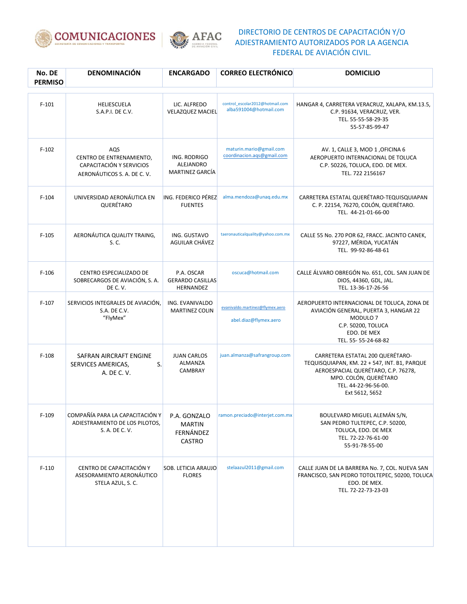



| No. DE<br><b>PERMISO</b> | <b>DENOMINACIÓN</b>                                                                        | <b>ENCARGADO</b>                                            | <b>CORREO ELECTRÓNICO</b>                                 | <b>DOMICILIO</b>                                                                                                                                                                           |
|--------------------------|--------------------------------------------------------------------------------------------|-------------------------------------------------------------|-----------------------------------------------------------|--------------------------------------------------------------------------------------------------------------------------------------------------------------------------------------------|
| $F-101$                  | HELIESCUELA<br>S.A.P.I. DE C.V.                                                            | LIC. ALFREDO<br><b>VELAZQUEZ MACIEL</b>                     | control_escolar2012@hotmail.com<br>alba591004@hotmail.com | HANGAR 4, CARRETERA VERACRUZ, XALAPA, KM.13.5,<br>C.P. 91634, VERACRUZ, VER.<br>TEL. 55-55-58-29-35<br>55-57-85-99-47                                                                      |
| $F-102$                  | AQS<br>CENTRO DE ENTRENAMIENTO,<br>CAPACITACIÓN Y SERVICIOS<br>AERONÁUTICOS S. A. DE C. V. | ING. RODRIGO<br>ALEJANDRO<br>MARTINEZ GARCÍA                | maturin.mario@gmail.com<br>coordinacion.aqs@gmail.com     | AV. 1, CALLE 3, MOD 1, OFICINA 6<br>AEROPUERTO INTERNACIONAL DE TOLUCA<br>C.P. 50226, TOLUCA, EDO. DE MEX.<br>TEL. 722 2156167                                                             |
| $F-104$                  | UNIVERSIDAD AERONÁUTICA EN<br>QUERÉTARO                                                    | ING. FEDERICO PÉREZ<br><b>FUENTES</b>                       | alma.mendoza@unaq.edu.mx                                  | CARRETERA ESTATAL QUERÉTARO-TEQUISQUIAPAN<br>C. P. 22154, 76270, COLÓN, QUERÉTARO.<br>TEL. 44-21-01-66-00                                                                                  |
| $F-105$                  | AERONÁUTICA QUALITY TRAING,<br>S. C.                                                       | ING. GUSTAVO<br>AGUILAR CHÁVEZ                              | taeronauticalquality@yahoo.com.mx                         | CALLE 55 No. 270 POR 62, FRACC. JACINTO CANEK,<br>97227, MÉRIDA, YUCATÁN<br>TEL. 99-92-86-48-61                                                                                            |
| $F-106$                  | CENTRO ESPECIALIZADO DE<br>SOBRECARGOS DE AVIACIÓN, S. A.<br>DE C.V.                       | P.A. OSCAR<br><b>GERARDO CASILLAS</b><br>HERNANDEZ          | oscuca@hotmail.com                                        | CALLE ÁLVARO OBREGÓN No. 651, COL. SAN JUAN DE<br>DIOS, 44360, GDL, JAL.<br>TEL. 13-36-17-26-56                                                                                            |
| $F-107$                  | SERVICIOS INTEGRALES DE AVIACIÓN,<br>S.A. DE C.V.<br>"FlyMex"                              | ING. EVANIVALDO<br><b>MARTINEZ COLIN</b>                    | evanivaldo.martinez@flymex.aero<br>abel.diaz@flymex.aero  | AEROPUERTO INTERNACIONAL DE TOLUCA, ZONA DE<br>AVIACIÓN GENERAL, PUERTA 3, HANGAR 22<br>MODULO <sub>7</sub><br>C.P. 50200, TOLUCA<br>EDO. DE MEX<br>TEL. 55-55-24-68-82                    |
| $F-108$                  | SAFRAN AIRCRAFT ENGINE<br>S.<br>SERVICES AMERICAS,<br>A. DE C. V.                          | <b>JUAN CARLOS</b><br>ALMANZA<br>CAMBRAY                    | juan.almanza@safrangroup.com                              | CARRETERA ESTATAL 200 QUERÉTARO-<br>TEQUISQUIAPAN, KM. 22 + 547, INT. B1, PARQUE<br>AEROESPACIAL QUERÉTARO, C.P. 76278,<br>MPO. COLÓN, QUERÉTARO<br>TEL. 44-22-96-56-00.<br>Ext 5612, 5652 |
| $F-109$                  | COMPAÑÍA PARA LA CAPACITACIÓN Y<br>ADIESTRAMIENTO DE LOS PILOTOS,<br>S. A. DE C. V.        | P.A. GONZALO<br><b>MARTIN</b><br>FERNÁNDEZ<br><b>CASTRO</b> | ramon.preciado@interjet.com.mx                            | BOULEVARD MIGUEL ALEMÁN S/N,<br>SAN PEDRO TULTEPEC, C.P. 50200,<br>TOLUCA, EDO. DE MEX<br>TEL. 72-22-76-61-00<br>55-91-78-55-00                                                            |
| $F-110$                  | CENTRO DE CAPACITACIÓN Y<br>ASESORAMIENTO AERONÁUTICO<br>STELA AZUL, S. C.                 | <b>SOB. LETICIA ARAUJO</b><br><b>FLORES</b>                 | stelaazul2011@gmail.com                                   | CALLE JUAN DE LA BARRERA No. 7, COL. NUEVA SAN<br>FRANCISCO, SAN PEDRO TOTOLTEPEC, 50200, TOLUCA<br>EDO. DE MEX.<br>TEL. 72-22-73-23-03                                                    |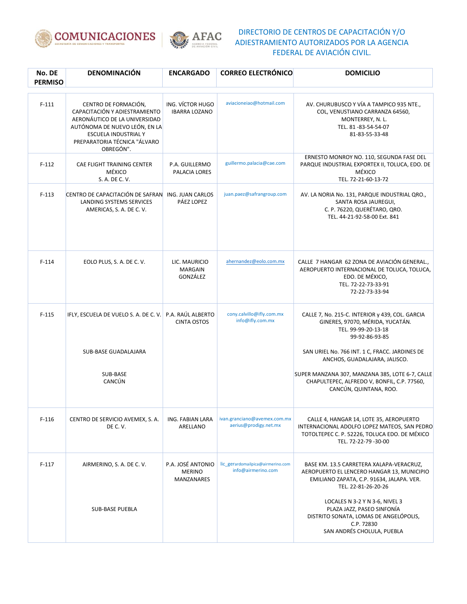



| No. DE<br><b>PERMISO</b> | <b>DENOMINACIÓN</b>                                                                                                                                                                                 | <b>ENCARGADO</b>                                 | <b>CORREO ELECTRÓNICO</b>                               | <b>DOMICILIO</b>                                                                                                                                                |
|--------------------------|-----------------------------------------------------------------------------------------------------------------------------------------------------------------------------------------------------|--------------------------------------------------|---------------------------------------------------------|-----------------------------------------------------------------------------------------------------------------------------------------------------------------|
| $F-111$                  | CENTRO DE FORMACIÓN,<br>CAPACITACIÓN Y ADIESTRAMIENTO<br>AERONÁUTICO DE LA UNIVERSIDAD<br>AUTÓNOMA DE NUEVO LEÓN, EN LA<br><b>ESCUELA INDUSTRIAL Y</b><br>PREPARATORIA TÉCNICA "ÁLVARO<br>OBREGÓN". | ING. VÍCTOR HUGO<br><b>IBARRA LOZANO</b>         | aviacioneiao@hotmail.com                                | AV. CHURUBUSCO Y VÍA A TAMPICO 935 NTE.,<br>COL, VENUSTIANO CARRANZA 64560,<br>MONTERREY, N. L.<br>TEL. 81-83-54-54-07<br>81-83-55-33-48                        |
| $F-112$                  | CAE FLIGHT TRAINING CENTER<br>MÉXICO<br>S. A. DE C. V.                                                                                                                                              | P.A. GUILLERMO<br>PALACIA LORES                  | guillermo.palacia@cae.com                               | ERNESTO MONROY NO. 110, SEGUNDA FASE DEL<br>PARQUE INDUSTRIAL EXPORTEX II, TOLUCA, EDO. DE<br>MÉXICO<br>TEL. 72-21-60-13-72                                     |
| $F-113$                  | CENTRO DE CAPACITACIÓN DE SAFRAN<br>LANDING SYSTEMS SERVICES<br>AMERICAS, S. A. DE C. V.                                                                                                            | ING. JUAN CARLOS<br>PÁEZ LOPEZ                   | juan.paez@safrangroup.com                               | AV. LA NORIA No. 131, PARQUE INDUSTRIAL QRO.,<br>SANTA ROSA JAUREGUI,<br>C. P. 76220, QUERÉTARO, QRO.<br>TEL. 44-21-92-58-00 Ext. 841                           |
| $F-114$                  | EOLO PLUS, S. A. DE C. V.                                                                                                                                                                           | LIC. MAURICIO<br><b>MARGAIN</b><br>GONZÁLEZ      | ahernandez@eolo.com.mx                                  | CALLE 7 HANGAR 62 ZONA DE AVIACIÓN GENERAL.<br>AEROPUERTO INTERNACIONAL DE TOLUCA, TOLUCA,<br>EDO. DE MÉXICO,<br>TEL. 72-22-73-33-91<br>72-22-73-33-94          |
| $F-115$                  | IFLY, ESCUELA DE VUELO S. A. DE C. V.                                                                                                                                                               | P.A. RAÚL ALBERTO<br><b>CINTA OSTOS</b>          | cony.calvillo@ifly.com.mx<br>info@ifly.com.mx           | CALLE 7, No. 215-C. INTERIOR y 439, COL. GARCIA<br>GINERES, 97070, MÉRIDA, YUCATÁN.<br>TEL. 99-99-20-13-18<br>99-92-86-93-85                                    |
|                          | <b>SUB-BASE GUADALAJARA</b>                                                                                                                                                                         |                                                  |                                                         | SAN URIEL No. 766 INT. 1 C, FRACC. JARDINES DE<br>ANCHOS, GUADALAJARA, JALISCO.                                                                                 |
|                          | SUB-BASE<br>CANCÚN                                                                                                                                                                                  |                                                  |                                                         | SUPER MANZANA 307, MANZANA 385, LOTE 6-7, CALLE<br>CHAPULTEPEC, ALFREDO V, BONFIL, C.P. 77560,<br>CANCÚN, QUINTANA, ROO.                                        |
| $F-116$                  | CENTRO DE SERVICIO AVEMEX, S. A.<br>DE C.V.                                                                                                                                                         | ING. FABIAN LARA<br>ARELLANO                     | ivan.granciano@avemex.com.mx<br>aerius@prodigy.net.mx   | CALLE 4, HANGAR 14, LOTE 35, AEROPUERTO<br>INTERNACIONAL ADOLFO LOPEZ MATEOS, SAN PEDRO<br>TOTOLTEPEC C. P. 52226, TOLUCA EDO. DE MÉXICO<br>TEL. 72-22-79-30-00 |
| $F-117$                  | AIRMERINO, S. A. DE C. V.                                                                                                                                                                           | P.A. JOSÉ ANTONIO<br><b>MERINO</b><br>MANZANARES | lic_gerardomailpica@airmerino.com<br>info@airmerino.com | BASE KM. 13.5 CARRETERA XALAPA-VERACRUZ,<br>AEROPUERTO EL LENCERO HANGAR 13, MUNICIPIO<br>EMILIANO ZAPATA, C.P. 91634, JALAPA. VER.<br>TEL. 22-81-26-20-26      |
|                          | <b>SUB-BASE PUEBLA</b>                                                                                                                                                                              |                                                  |                                                         | LOCALES N 3-2 Y N 3-6, NIVEL 3<br>PLAZA JAZZ, PASEO SINFONÍA<br>DISTRITO SONATA, LOMAS DE ANGELÓPOLIS,<br>C.P. 72830<br>SAN ANDRÉS CHOLULA, PUEBLA              |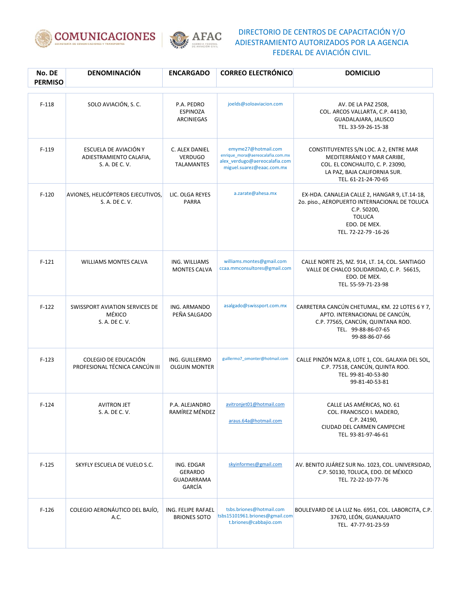



| No. DE<br><b>PERMISO</b> | DENOMINACIÓN                                                       | <b>ENCARGADO</b>                                            | <b>CORREO ELECTRÓNICO</b>                                                                                             | <b>DOMICILIO</b>                                                                                                                                                      |
|--------------------------|--------------------------------------------------------------------|-------------------------------------------------------------|-----------------------------------------------------------------------------------------------------------------------|-----------------------------------------------------------------------------------------------------------------------------------------------------------------------|
| $F-118$                  | SOLO AVIACIÓN, S.C.                                                | P.A. PEDRO<br><b>ESPINOZA</b><br>ARCINIEGAS                 | joelds@soloaviacion.com                                                                                               | AV. DE LA PAZ 2508,<br>COL. ARCOS VALLARTA, C.P. 44130,<br>GUADALAJARA, JALISCO<br>TEL. 33-59-26-15-38                                                                |
| $F-119$                  | ESCUELA DE AVIACIÓN Y<br>ADIESTRAMIENTO CALAFIA,<br>S. A. DE C. V. | C. ALEX DANIEL<br><b>VERDUGO</b><br><b>TALAMANTES</b>       | emyme27@hotmail.com<br>enrique_mora@aereocalafia.com.mx<br>alex_verdugo@aereocalafia.com<br>miguel.suarez@eaac.com.mx | CONSTITUYENTES S/N LOC. A 2, ENTRE MAR<br>MEDITERRÁNEO Y MAR CARIBE,<br>COL. EL CONCHALITO, C. P. 23090,<br>LA PAZ, BAJA CALIFORNIA SUR.<br>TEL. 61-21-24-70-65       |
| $F-120$                  | AVIONES, HELICÓPTEROS EJECUTIVOS,<br>S. A. DE C. V.                | LIC. OLGA REYES<br>PARRA                                    | a.zarate@ahesa.mx                                                                                                     | EX-HDA. CANALEJA CALLE 2, HANGAR 9, LT.14-18,<br>20. piso., AEROPUERTO INTERNACIONAL DE TOLUCA<br>C.P. 50200,<br><b>TOLUCA</b><br>EDO. DE MEX.<br>TEL. 72-22-79-16-26 |
| $F-121$                  | <b>WILLIAMS MONTES CALVA</b>                                       | ING. WILLIAMS<br><b>MONTES CALVA</b>                        | williams.montes@gmail.com<br>ccaa.mmconsultores@gmail.com                                                             | CALLE NORTE 25, MZ. 914, LT. 14, COL. SANTIAGO<br>VALLE DE CHALCO SOLIDARIDAD, C. P. 56615,<br>EDO. DE MEX.<br>TEL. 55-59-71-23-98                                    |
| $F-122$                  | SWISSPORT AVIATION SERVICES DE<br>MÉXICO<br>S. A. DE C. V.         | ING. ARMANDO<br>PEÑA SALGADO                                | asalgado@swissport.com.mx                                                                                             | CARRETERA CANCÚN CHETUMAL, KM. 22 LOTES 6 Y 7,<br>APTO. INTERNACIONAL DE CANCÚN,<br>C.P. 77565, CANCÚN, QUINTANA ROO.<br>TEL. 99-88-86-07-65<br>99-88-86-07-66        |
| $F-123$                  | COLEGIO DE EDUCACIÓN<br>PROFESIONAL TÉCNICA CANCÚN III             | ING. GUILLERMO<br><b>OLGUIN MONTER</b>                      | guillermo7_omonter@hotmail.com                                                                                        | CALLE PINZÓN MZA.8, LOTE 1, COL. GALAXIA DEL SOL,<br>C.P. 77518, CANCÚN, QUINTA ROO.<br>TEL. 99-81-40-53-80<br>99-81-40-53-81                                         |
| $F-124$                  | <b>AVITRON JET</b><br>S. A. DE C. V.                               | P.A. ALEJANDRO<br>RAMÍREZ MÉNDEZ                            | avitronjet01@hotmail.com<br>araus.64a@hotmail.com                                                                     | CALLE LAS AMÉRICAS, NO. 61<br>COL. FRANCISCO I. MADERO,<br>C.P. 24190,<br>CIUDAD DEL CARMEN CAMPECHE<br>TEL. 93-81-97-46-61                                           |
| $F-125$                  | SKYFLY ESCUELA DE VUELO S.C.                                       | ING. EDGAR<br><b>GERARDO</b><br>GUADARRAMA<br><b>GARCÍA</b> | skyinformes@gmail.com                                                                                                 | AV. BENITO JUÁREZ SUR No. 1023, COL. UNIVERSIDAD,<br>C.P. 50130, TOLUCA, EDO. DE MÉXICO<br>TEL. 72-22-10-77-76                                                        |
| $F-126$                  | COLEGIO AERONÁUTICO DEL BAJÍO,<br>A.C.                             | ING. FELIPE RAFAEL<br><b>BRIONES SOTO</b>                   | tsbs.briones@hotmail.com<br>tsbs15101961.briones@gmail.com<br>t.briones@cabbajio.com                                  | BOULEVARD DE LA LUZ No. 6951, COL. LABORCITA, C.P.<br>37670, LEÓN, GUANAJUATO<br>TEL. 47-77-91-23-59                                                                  |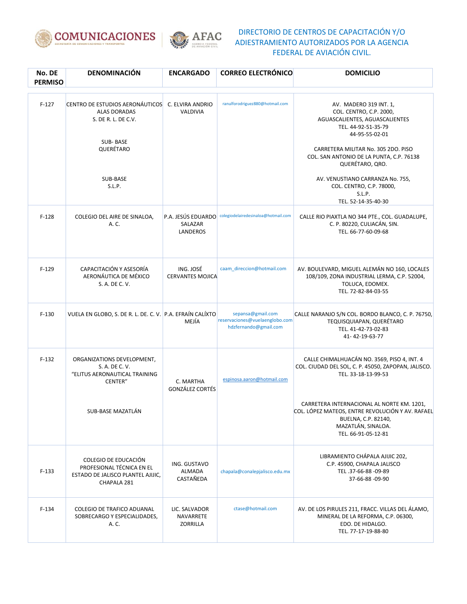



| No. DE<br><b>PERMISO</b> | DENOMINACIÓN                                                                                           | <b>ENCARGADO</b>                          | <b>CORREO ELECTRÓNICO</b>                                                    | <b>DOMICILIO</b>                                                                                                                                                                                                                   |
|--------------------------|--------------------------------------------------------------------------------------------------------|-------------------------------------------|------------------------------------------------------------------------------|------------------------------------------------------------------------------------------------------------------------------------------------------------------------------------------------------------------------------------|
| $F-127$                  | CENTRO DE ESTUDIOS AERONÁUTICOS<br><b>ALAS DORADAS</b><br>S. DE R. L. DE C.V.<br>SUB-BASE<br>QUERÉTARO | C. ELVIRA ANDRIO<br><b>VALDIVIA</b>       | ranulforodriguez880@hotmail.com                                              | AV. MADERO 319 INT. 1,<br>COL. CENTRO, C.P. 2000,<br>AGUASCALIENTES, AGUASCALIENTES<br>TEL. 44-92-51-35-79<br>44-95-55-02-01<br>CARRETERA MILITAR No. 305 2DO. PISO<br>COL. SAN ANTONIO DE LA PUNTA, C.P. 76138<br>QUERÉTARO, QRO. |
|                          | SUB-BASE<br>S.L.P.                                                                                     |                                           |                                                                              | AV. VENUSTIANO CARRANZA No. 755,<br>COL. CENTRO, C.P. 78000,<br>S.L.P.<br>TEL. 52-14-35-40-30                                                                                                                                      |
| $F-128$                  | COLEGIO DEL AIRE DE SINALOA,<br>A. C.                                                                  | P.A. JESÚS EDUARDO<br>SALAZAR<br>LANDEROS | colegiodelairedesinaloa@hotmail.com                                          | CALLE RIO PIAXTLA NO 344 PTE., COL. GUADALUPE,<br>C. P. 80220, CULIACÁN, SIN.<br>TEL. 66-77-60-09-68                                                                                                                               |
| $F-129$                  | CAPACITACIÓN Y ASESORÍA<br>AERONÁUTICA DE MÉXICO<br>S. A. DE C. V.                                     | ING. JOSÉ<br><b>CERVANTES MOJICA</b>      | caam direccion@hotmail.com                                                   | AV. BOULEVARD, MIGUEL ALEMÁN NO 160, LOCALES<br>108/109, ZONA INDUSTRIAL LERMA, C.P. 52004,<br>TOLUCA, EDOMEX.<br>TEL. 72-82-84-03-55                                                                                              |
| $F-130$                  | VUELA EN GLOBO, S. DE R. L. DE. C. V. P.A. EFRAÍN CALÍXTO                                              | MEJÍA                                     | sepansa@gmail.com<br>reservaciones@vuelaenglobo.com<br>hdzfernando@gmail.com | CALLE NARANJO S/N COL. BORDO BLANCO, C. P. 76750,<br>TEQUISQUIAPAN, QUERÉTARO<br>TEL. 41-42-73-02-83<br>41-42-19-63-77                                                                                                             |
| $F-132$                  | ORGANIZATIONS DEVELOPMENT,<br>S. A. DE C. V.<br>"ELITUS AERONAUTICAL TRAINING<br>CENTER"               | C. MARTHA<br><b>GONZÁLEZ CORTÉS</b>       | espinosa.aaron@hotmail.com                                                   | CALLE CHIMALHUACÁN NO. 3569, PISO 4, INT. 4<br>COL. CIUDAD DEL SOL, C. P. 45050, ZAPOPAN, JALISCO.<br>TEL. 33-18-13-99-53                                                                                                          |
|                          | SUB-BASE MAZATLÁN                                                                                      |                                           |                                                                              | CARRETERA INTERNACIONAL AL NORTE KM. 1201,<br>COL. LÓPEZ MATEOS, ENTRE REVOLUCIÓN Y AV. RAFAEL<br>BUELNA, C.P. 82140,<br>MAZATLÁN, SINALOA.<br>TEL. 66-91-05-12-81                                                                 |
| $F-133$                  | COLEGIO DE EDUCACIÓN<br>PROFESIONAL TÉCNICA EN EL<br>ESTADO DE JALISCO PLANTEL AJIJIC,<br>CHAPALA 281  | ING. GUSTAVO<br>ALMADA<br>CASTAÑEDA       | chapala@conalepjalisco.edu.mx                                                | LIBRAMIENTO CHÁPALA AJIJIC 202,<br>C.P. 45900, CHAPALA JALISCO<br>TEL.37-66-88-09-89<br>37-66-88 -09-90                                                                                                                            |
| $F-134$                  | COLEGIO DE TRAFICO ADUANAL<br>SOBRECARGO Y ESPECIALIDADES,<br>A. C.                                    | LIC. SALVADOR<br>NAVARRETE<br>ZORRILLA    | ctase@hotmail.com                                                            | AV. DE LOS PIRULES 211, FRACC. VILLAS DEL ÁLAMO,<br>MINERAL DE LA REFORMA, C.P. 06300,<br>EDO. DE HIDALGO.<br>TEL. 77-17-19-88-80                                                                                                  |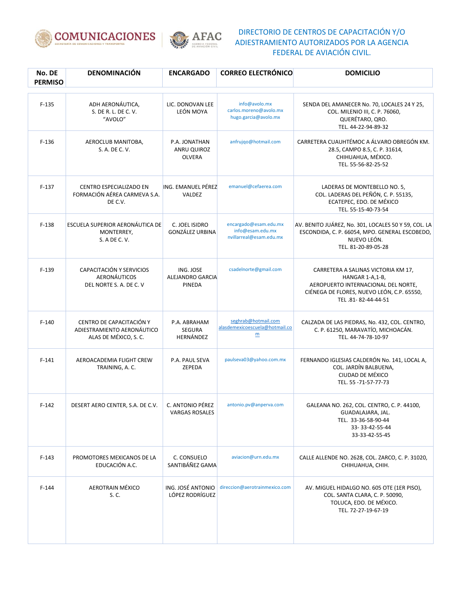



| No. DE<br><b>PERMISO</b> | DENOMINACIÓN                                                                    | <b>ENCARGADO</b>                          | <b>CORREO ELECTRÓNICO</b>                                                | <b>DOMICILIO</b>                                                                                                                                                  |
|--------------------------|---------------------------------------------------------------------------------|-------------------------------------------|--------------------------------------------------------------------------|-------------------------------------------------------------------------------------------------------------------------------------------------------------------|
| $F-135$                  | ADH AERONÁUTICA,<br>S. DE R. L. DE C. V.<br>"AVOLO"                             | LIC. DONOVAN LEE<br>LEÓN MOYA             | info@avolo.mx<br>carlos.moreno@avolo.mx<br>hugo.garcia@avolo.mx          | SENDA DEL AMANECER No. 70, LOCALES 24 Y 25,<br>COL. MILENIO III, C. P. 76060,<br>QUERÉTARO, QRO.<br>TEL. 44-22-94-89-32                                           |
| $F-136$                  | AEROCLUB MANITOBA,<br>S. A. DE C. V.                                            | P.A. JONATHAN<br>ANRU QUIROZ<br>OLVERA    | anfrujqo@hotmail.com                                                     | CARRETERA CUAUHTÉMOC A ÁLVARO OBREGÓN KM.<br>28.5, CAMPO 8.5, C. P. 31614,<br>CHIHUAHUA, MÉXICO.<br>TEL. 55-56-82-25-52                                           |
| $F-137$                  | <b>CENTRO ESPECIALIZADO EN</b><br>FORMACIÓN AÉREA CARMEVA S.A.<br>DE C.V.       | ING. EMANUEL PÉREZ<br>VALDEZ              | emanuel@cefaerea.com                                                     | LADERAS DE MONTEBELLO NO. 5,<br>COL. LADERAS DEL PEÑÓN, C. P. 55135,<br>ECATEPEC, EDO. DE MÉXICO<br>TEL. 55-15-40-73-54                                           |
| $F-138$                  | ESCUELA SUPERIOR AERONÁUTICA DE<br>MONTERREY,<br>S. A DE C. V.                  | C. JOEL ISIDRO<br>GONZÁLEZ URBINA         | encargado@esam.edu.mx<br>info@esam.edu.mx<br>nvillarreal@esam.edu.mx     | AV. BENITO JUÁREZ, No. 301, LOCALES 50 Y 59, COL. LA<br>ESCONDIDA, C. P. 66054, MPO. GENERAL ESCOBEDO,<br>NUEVO LEÓN.<br>TEL. 81-20-89-05-28                      |
| $F-139$                  | CAPACITACIÓN Y SERVICIOS<br><b>AERONÁUTICOS</b><br>DEL NORTE S. A. DE C. V      | ING. JOSE<br>ALEJANDRO GARCIA<br>PINEDA   | csadelnorte@gmail.com                                                    | CARRETERA A SALINAS VICTORIA KM 17,<br>HANGAR 1-A,1-B,<br>AEROPUERTO INTERNACIONAL DEL NORTE.<br>CIÉNEGA DE FLORES, NUEVO LEÓN, C.P. 65550,<br>TEL.81-82-44-44-51 |
| $F-140$                  | CENTRO DE CAPACITACIÓN Y<br>ADIESTRAMIENTO AERONÁUTICO<br>ALAS DE MÉXICO, S. C. | P.A. ABRAHAM<br>SEGURA<br>HERNÁNDEZ       | seghrab@hotmail.com<br>alasdemexicoescuela@hotmail.co<br>$\underline{m}$ | CALZADA DE LAS PIEDRAS, No. 432, COL. CENTRO,<br>C. P. 61250, MARAVATÍO, MICHOACÁN.<br>TEL. 44-74-78-10-97                                                        |
| $F-141$                  | AEROACADEMIA FLIGHT CREW<br>TRAINING, A.C.                                      | P.A. PAUL SEVA<br>ZEPEDA                  | paulseva03@yahoo.com.mx                                                  | FERNANDO IGLESIAS CALDERÓN No. 141, LOCAL A,<br>COL. JARDÍN BALBUENA,<br>CIUDAD DE MÉXICO<br>TEL. 55 - 71 - 57 - 77 - 73                                          |
| $F-142$                  | DESERT AERO CENTER, S.A. DE C.V.                                                | C. ANTONIO PÉREZ<br><b>VARGAS ROSALES</b> | antonio.pv@anperva.com                                                   | GALEANA NO. 262, COL. CENTRO, C. P. 44100,<br>GUADALAJARA, JAL.<br>TEL. 33-36-58-90-44<br>33-33-42-55-44<br>33-33-42-55-45                                        |
| $F-143$                  | PROMOTORES MEXICANOS DE LA<br>EDUCACIÓN A.C.                                    | C. CONSUELO<br>SANTIBÁÑEZ GAMA            | aviacion@urn.edu.mx                                                      | CALLE ALLENDE NO. 2628, COL. ZARCO, C. P. 31020,<br>CHIHUAHUA, CHIH.                                                                                              |
| $F-144$                  | AEROTRAIN MÉXICO<br>S. C.                                                       | ING. JOSÉ ANTONIO<br>LÓPEZ RODRÍGUEZ      | direccion@aerotrainmexico.com                                            | AV. MIGUEL HIDALGO NO. 605 OTE (1ER PISO),<br>COL. SANTA CLARA, C. P. 50090,<br>TOLUCA, EDO. DE MÉXICO.<br>TEL. 72-27-19-67-19                                    |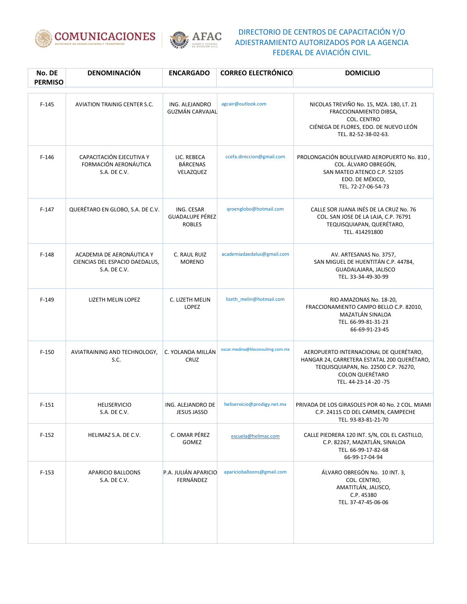



| No. DE<br><b>PERMISO</b> | <b>DENOMINACIÓN</b>                                                         | <b>ENCARGADO</b>                                      | <b>CORREO ELECTRÓNICO</b>        | <b>DOMICILIO</b>                                                                                                                                                               |
|--------------------------|-----------------------------------------------------------------------------|-------------------------------------------------------|----------------------------------|--------------------------------------------------------------------------------------------------------------------------------------------------------------------------------|
| $F-145$                  | <b>AVIATION TRAINIG CENTER S.C.</b>                                         | ING. ALEJANDRO<br><b>GUZMÁN CARVAJAL</b>              | agcair@outlook.com               | NICOLAS TREVIÑO No. 15, MZA. 180, LT. 21<br>FRACCIONAMIENTO DIBSA,<br>COL. CENTRO<br>CIÉNEGA DE FLORES, EDO. DE NUEVO LEÓN<br>TEL. 82-52-38-02-63.                             |
| $F-146$                  | CAPACITACIÓN EJECUTIVA Y<br>FORMACIÓN AERONÁUTICA<br>S.A. DE C.V.           | LIC. REBECA<br><b>BÁRCENAS</b><br>VELAZQUEZ           | ccefa.direccion@gmail.com        | PROLONGACIÓN BOULEVARD AEROPUERTO No. 810,<br>COL. ÁLVARO OBREGÓN,<br>SAN MATEO ATENCO C.P. 52105<br>EDO. DE MÉXICO,<br>TEL. 72-27-06-54-73                                    |
| $F-147$                  | QUERÉTARO EN GLOBO, S.A. DE C.V.                                            | ING. CESAR<br><b>GUADALUPE PÉREZ</b><br><b>ROBLES</b> | qroenglobo@hotmail.com           | CALLE SOR JUANA INÉS DE LA CRUZ No. 76<br>COL. SAN JOSE DE LA LAJA, C.P. 76791<br>TEQUISQUIAPAN, QUERÉTARO,<br>TEL. 414291800                                                  |
| $F-148$                  | ACADEMIA DE AERONÁUTICA Y<br>CIENCIAS DEL ESPACIO DAEDALUS,<br>S.A. DE C.V. | C. RAUL RUIZ<br><b>MORENO</b>                         | academiadaedalus@gmail.com       | AV. ARTESANAS No. 3757,<br>SAN MIGUEL DE HUENTITÁN C.P. 44784,<br>GUADALAJARA, JALISCO<br>TEL. 33-34-49-30-99                                                                  |
| $F-149$                  | LIZETH MELIN LOPEZ                                                          | C. LIZETH MELIN<br>LOPEZ                              | lizeth_melin@hotmail.com         | RIO AMAZONAS No. 18-20,<br>FRACCIONAMIENTO CAMPO BELLO C.P. 82010,<br>MAZATLÁN SINALOA<br>TEL. 66-99-81-31-23<br>66-69-91-23-45                                                |
| $F-150$                  | AVIATRAINING AND TECHNOLOGY,<br>S.C.                                        | C. YOLANDA MILLÁN<br>CRUZ                             | oscar.medina@kbconsulting.com.mx | AEROPUERTO INTERNACIONAL DE QUERÉTARO,<br>HANGAR 24, CARRETERA ESTATAL 200 QUERÉTARO,<br>TEQUISQUIAPAN, No. 22500 C.P. 76270,<br><b>COLON QUERÉTARO</b><br>TEL. 44-23-14-20-75 |
| $F-151$                  | <b>HELISERVICIO</b><br>S.A. DE C.V.                                         | ING. ALEJANDRO DE<br><b>JESUS JASSO</b>               | heliservicio@prodigy.net.mx      | PRIVADA DE LOS GIRASOLES POR 40 No. 2 COL. MIAMI<br>C.P. 24115 CD DEL CARMEN, CAMPECHE<br>TEL. 93-83-81-21-70                                                                  |
| $F-152$                  | HELIMAZ S.A. DE C.V.                                                        | C. OMAR PÉREZ<br>GOMEZ                                | escuela@helimaz.com              | CALLE PIEDRERA 120 INT. S/N, COL EL CASTILLO,<br>C.P. 82267, MAZATLÁN, SINALOA<br>TEL. 66-99-17-82-68<br>66-99-17-04-94                                                        |
| $F-153$                  | APARICIO BALLOONS<br>S.A. DE C.V.                                           | P.A. JULIÁN APARICIO<br>FERNÁNDEZ                     | aparicioballoons@gmail.com       | ÁLVARO OBREGÓN No. 10 INT. 3,<br>COL. CENTRO,<br>AMATITLÁN, JALISCO,<br>C.P. 45380<br>TEL. 37-47-45-06-06                                                                      |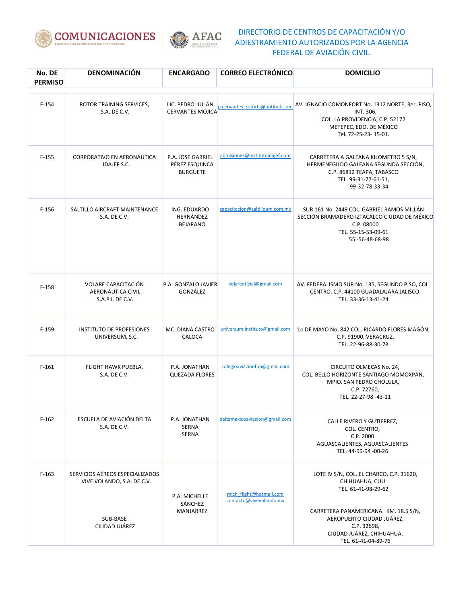



| No. DE<br><b>PERMISO</b> | <b>DENOMINACIÓN</b>                                                                        | <b>ENCARGADO</b>                                       | <b>CORREO ELECTRÓNICO</b>                          | <b>DOMICILIO</b>                                                                                                                                                       |
|--------------------------|--------------------------------------------------------------------------------------------|--------------------------------------------------------|----------------------------------------------------|------------------------------------------------------------------------------------------------------------------------------------------------------------------------|
| $F-154$                  | ROTOR TRAINING SERVICES,<br>S.A. DE C.V.                                                   | LIC. PEDRO JULIÁN<br><b>CERVANTES MOJICA</b>           | p.cervantes rotorfs@outlook.com                    | AV. IGNACIO COMONFORT No. 1312 NORTE, 3er. PISO,<br>INT. 306,<br>COL. LA PROVIDENCIA, C.P. 52172<br>METEPEC, EDO. DE MÉXICO<br>Tel. 72-25-23-15-01.                    |
| $F-155$                  | CORPORATIVO EN AERONÁUTICA<br>IDAJEF S.C.                                                  | P.A. JOSE GABRIEL<br>PÉREZ ESQUINCA<br><b>BURGUETE</b> | admisiones@institutoidajef.com                     | CARRETERA A GALEANA KILOMETRO 5 S/N,<br>HERMENEGILDO GALEANA SEGUNDA SECCIÓN,<br>C.P. 86812 TEAPA, TABASCO<br>TEL. 99-31-77-61-51,<br>99-32-78-33-34                   |
| $F-156$                  | SALTILLO AIRCRAFT MAINTENANCE<br>S.A. DE C.V.                                              | ING. EDUARDO<br>HERNÁNDEZ<br><b>BEJARANO</b>           | capacitacion@saltilloam.com.mx                     | SUR 161 No. 2449 COL. GABRIEL RAMOS MILLÁN<br>SECCIÓN BRAMADERO IZTACALCO CIUDAD DE MÉXICO<br>C.P. 08000<br>TEL. 55-15-53-09-61<br>55-56-48-68-98                      |
| $F-158$                  | <b>VOLARE CAPACITACIÓN</b><br>AERONÁUTICA CIVIL<br>S.A.P.I. DE C.V.                        | P.A. GONZALO JAVIER<br>GONZÁLEZ                        | volareoficial@gmail.com                            | AV. FEDERALISMO SUR No. 135, SEGUNDO PISO, COL.<br>CENTRO, C.P. 44100 GUADALAJARA JALISCO.<br>TEL. 33-36-13-41-24                                                      |
| $F-159$                  | <b>INSTITUTO DE PROFESIONES</b><br>UNIVERSUM, S.C.                                         | MC. DIANA CASTRO<br>CALOCA                             | universum.instituto@gmail.com                      | 10 DE MAYO No. 842 COL. RICARDO FLORES MAGÓN,<br>C.P. 91900, VERACRUZ.<br>TEL. 22-96-88-30-78                                                                          |
| $F-161$                  | FLIGHT HAWK PUEBLA,<br>S.A. DE C.V.                                                        | P.A. JONATHAN<br><b>QUEZADA FLORES</b>                 | colegioaviacionfhp@gmail.com                       | CIRCUITO OLMECAS No. 24,<br>COL. BELLO HORIZONTE SANTIAGO MOMOXPAN,<br>MPIO. SAN PEDRO CHOLULA,<br>C.P. 72760,<br>TEL. 22-27-98 -43-11                                 |
| $F-162$                  | ESCUELA DE AVIACIÓN DELTA<br>S.A. DE C.V.                                                  | P.A. JONATHAN<br><b>SERNA</b><br><b>SERNA</b>          | deltamexicoaviacion@gmail.com                      | CALLE RIVERO Y GUTIERREZ,<br>COL. CENTRO,<br>C.P. 2000<br>AGUASCALIENTES, AGUASCALIENTES<br>TEL. 44-99-94 -00-26                                                       |
| $F-163$                  | SERVICIOS AÉREOS ESPECIALIZADOS<br>VIVE VOLANDO, S.A. DE C.V.<br>SUB-BASE<br>CIUDAD JUÁREZ | P.A. MICHELLE<br>SÁNCHEZ<br>MANJARREZ                  | mich flight@hotmail.com<br>contacto@vivevolando.mx | LOTE IV S/N, COL. EL CHARCO, C.P. 31620,<br>CHIHUAHUA, CUU.<br>TEL. 61-41-98-29-62<br>CARRETERA PANAMERICANA KM. 18.5 S/N,<br>AEROPUERTO CIUDAD JUÁREZ,<br>C.P. 32698, |
|                          |                                                                                            |                                                        |                                                    | CIUDAD JUÁREZ, CHIHUAHUA.<br>TEL. 61-41-04-89-76                                                                                                                       |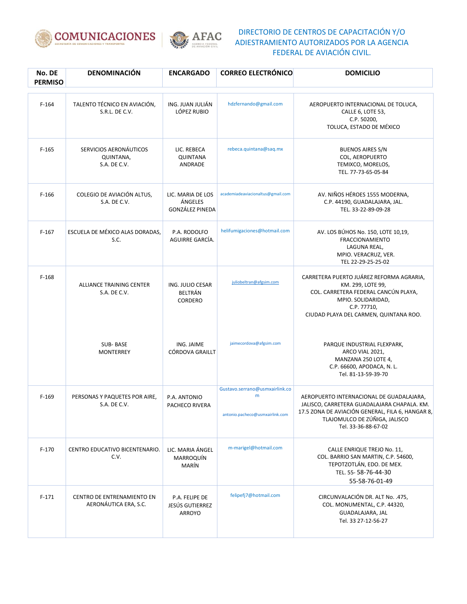



| No. DE<br><b>PERMISO</b> | <b>DENOMINACIÓN</b>                                 | <b>ENCARGADO</b>                                | <b>CORREO ELECTRÓNICO</b>                                              | <b>DOMICILIO</b>                                                                                                                                                                                    |
|--------------------------|-----------------------------------------------------|-------------------------------------------------|------------------------------------------------------------------------|-----------------------------------------------------------------------------------------------------------------------------------------------------------------------------------------------------|
| $F-164$                  | TALENTO TÉCNICO EN AVIACIÓN,<br>S.R.L. DE C.V.      | ING. JUAN JULIÁN<br>LÓPEZ RUBIO                 | hdzfernando@gmail.com                                                  | AEROPUERTO INTERNACIONAL DE TOLUCA,<br>CALLE 6, LOTE 53,<br>C.P. 50200,<br>TOLUCA, ESTADO DE MÉXICO                                                                                                 |
| $F-165$                  | SERVICIOS AERONÁUTICOS<br>QUINTANA,<br>S.A. DE C.V. | LIC. REBECA<br><b>QUINTANA</b><br>ANDRADE       | rebeca.quintana@saq.mx                                                 | <b>BUENOS AIRES S/N</b><br>COL, AEROPUERTO<br>TEMIXCO, MORELOS,<br>TEL. 77-73-65-05-84                                                                                                              |
| $F-166$                  | COLEGIO DE AVIACIÓN ALTUS,<br>S.A. DE C.V.          | LIC. MARIA DE LOS<br>ÁNGELES<br>GONZÁLEZ PINEDA | academiadeaviacionaltus@gmail.com                                      | AV. NIÑOS HÉROES 1555 MODERNA,<br>C.P. 44190, GUADALAJARA, JAL.<br>TEL. 33-22-89-09-28                                                                                                              |
| $F-167$                  | ESCUELA DE MÉXICO ALAS DORADAS,<br>S.C.             | P.A. RODOLFO<br>AGUIRRE GARCÍA.                 | helifumigaciones@hotmail.com                                           | AV. LOS BÚHOS No. 150, LOTE 10,19,<br><b>FRACCIONAMIENTO</b><br>LAGUNA REAL,<br>MPIO. VERACRUZ, VER.<br>TEL 22-29-25-25-02                                                                          |
| $F-168$                  | <b>ALLIANCE TRAINING CENTER</b><br>S.A. DE C.V.     | ING. JULIO CESAR<br>BELTRÁN<br>CORDERO          | juliobeltran@afgsim.com                                                | CARRETERA PUERTO JUÁREZ REFORMA AGRARIA.<br>KM. 299, LOTE 99,<br>COL. CARRETERA FEDERAL CANCÚN PLAYA,<br>MPIO. SOLIDARIDAD,<br>C.P. 77710,<br>CIUDAD PLAYA DEL CARMEN, QUINTANA ROO.                |
|                          | SUB-BASE<br><b>MONTERREY</b>                        | ING. JAIME<br>CÓRDOVA GRAILLT                   | jaimecordova@afgsim.com                                                | PARQUE INDUSTRIAL FLEXPARK,<br>ARCO VIAL 2021,<br>MANZANA 250 LOTE 4,<br>C.P. 66600, APODACA, N.L.<br>Tel. 81-13-59-39-70                                                                           |
| $F-169$                  | PERSONAS Y PAQUETES POR AIRE,<br>S.A. DE C.V.       | P.A. ANTONIO<br>PACHECO RIVERA                  | Gustavo.serrano@usmxairlink.co<br>m<br>antonio.pacheco@usmxairlink.com | AEROPUERTO INTERNACIONAL DE GUADALAJARA,<br>JALISCO, CARRETERA GUADALAJARA CHAPALA. KM.<br>17.5 ZONA DE AVIACIÓN GENERAL, FILA 6, HANGAR 8,<br>TLAJOMULCO DE ZÚÑIGA, JALISCO<br>Tel. 33-36-88-67-02 |
| $F-170$                  | CENTRO EDUCATIVO BICENTENARIO.<br>C.V.              | LIC. MARIA ÁNGEL<br><b>MARROQUÍN</b><br>MARÍN   | m-marigel@hotmail.com                                                  | CALLE ENRIQUE TREJO No. 11,<br>COL. BARRIO SAN MARTIN, C.P. 54600,<br>TEPOTZOTLÁN, EDO. DE MEX.<br>TEL. 55-58-76-44-30<br>55-58-76-01-49                                                            |
| $F-171$                  | CENTRO DE ENTRENAMIENTO EN<br>AERONÁUTICA ERA, S.C. | P.A. FELIPE DE<br>JESÚS GUTIERREZ<br>ARROYO     | felipefj7@hotmail.com                                                  | CIRCUNVALACIÓN DR. ALT No. .475,<br>COL. MONUMENTAL, C.P. 44320,<br>GUADALAJARA, JAL<br>Tel. 33 27-12-56-27                                                                                         |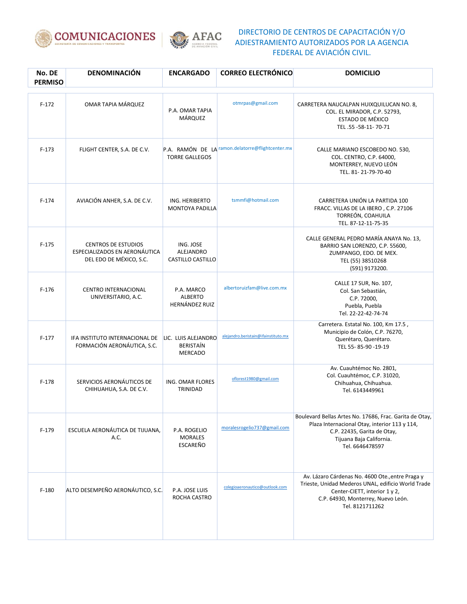



| No. DE<br><b>PERMISO</b> | <b>DENOMINACIÓN</b>                                                                    | <b>ENCARGADO</b>                                          | <b>CORREO ELECTRÓNICO</b>                        | <b>DOMICILIO</b>                                                                                                                                                                                 |
|--------------------------|----------------------------------------------------------------------------------------|-----------------------------------------------------------|--------------------------------------------------|--------------------------------------------------------------------------------------------------------------------------------------------------------------------------------------------------|
| $F-172$                  | OMAR TAPIA MÁRQUEZ                                                                     | P.A. OMAR TAPIA<br>MÁRQUEZ                                | otmrpas@gmail.com                                | CARRETERA NAUCALPAN HUIXQUILUCAN NO. 8,<br>COL. EL MIRADOR, C.P. 52793,<br>ESTADO DE MÉXICO<br>TEL.55-58-11-70-71                                                                                |
| $F-173$                  | FLIGHT CENTER, S.A. DE C.V.                                                            | <b>TORRE GALLEGOS</b>                                     | P.A. RAMÓN DE LA ramon.delatorre@flightcenter.mx | CALLE MARIANO ESCOBEDO NO. 530,<br>COL. CENTRO, C.P. 64000,<br>MONTERREY, NUEVO LEÓN<br>TEL. 81-21-79-70-40                                                                                      |
| $F-174$                  | AVIACIÓN ANHER, S.A. DE C.V.                                                           | ING. HERIBERTO<br><b>MONTOYA PADILLA</b>                  | tsmmfi@hotmail.com                               | CARRETERA UNIÓN LA PARTIDA 100<br>FRACC. VILLAS DE LA IBERO, C.P. 27106<br>TORREÓN, COAHUILA<br>TEL. 87-12-11-75-35                                                                              |
| $F-175$                  | <b>CENTROS DE ESTUDIOS</b><br>ESPECIALIZADOS EN AERONÁUTICA<br>DEL EDO DE MÉXICO, S.C. | ING. JOSE<br>ALEJANDRO<br>CASTILLO CASTILLO               |                                                  | CALLE GENERAL PEDRO MARÍA ANAYA No. 13,<br>BARRIO SAN LORENZO, C.P. 55600,<br>ZUMPANGO, EDO. DE MEX.<br>TEL (55) 38510268<br>(591) 9173200.                                                      |
| $F-176$                  | <b>CENTRO INTERNACIONAL</b><br>UNIVERSITARIO, A.C.                                     | P.A. MARCO<br><b>ALBERTO</b><br><b>HERNÁNDEZ RUIZ</b>     | albertoruizfam@live.com.mx                       | CALLE 17 SUR, No. 107,<br>Col. San Sebastián,<br>C.P. 72000,<br>Puebla, Puebla<br>Tel. 22-22-42-74-74                                                                                            |
| $F-177$                  | IFA INSTITUTO INTERNACIONAL DE<br>FORMACIÓN AERONÁUTICA, S.C.                          | LIC. LUIS ALEJANDRO<br><b>BERISTAÍN</b><br><b>MERCADO</b> | alejandro.beristain@ifainstituto.mx              | Carretera. Estatal No. 100, Km 17.5,<br>Municipio de Colón, C.P. 76270,<br>Querétaro, Querétaro.<br>TEL 55-85-90-19-19                                                                           |
| $F-178$                  | SERVICIOS AERONÁUTICOS DE<br>CHIHUAHUA, S.A. DE C.V.                                   | ING. OMAR FLORES<br>TRINIDAD                              | oflorest1980@gmail.com                           | Av. Cuauhtémoc No. 2801,<br>Col. Cuauhtémoc, C.P. 31020,<br>Chihuahua, Chihuahua.<br>Tel. 6143449961                                                                                             |
| $F-179$                  | ESCUELA AERONÁUTICA DE TIJUANA,<br>A.C.                                                | P.A. ROGELIO<br><b>MORALES</b><br>ESCAREÑO                | moralesrogelio737@gmail.com                      | Boulevard Bellas Artes No. 17686, Frac. Garita de Otay,<br>Plaza Internacional Otay, interior 113 y 114,<br>C.P. 22435, Garita de Otay,<br>Tijuana Baja California.<br>Tel. 6646478597           |
| $F-180$                  | ALTO DESEMPEÑO AERONÁUTICO, S.C.                                                       | P.A. JOSE LUIS<br>ROCHA CASTRO                            | colegioaeronautico@outlook.com                   | Av. Lázaro Cárdenas No. 4600 Ote., entre Praga y<br>Trieste, Unidad Mederos UNAL, edificio World Trade<br>Center-CIETT, interior 1 y 2,<br>C.P. 64930, Monterrey, Nuevo León.<br>Tel. 8121711262 |